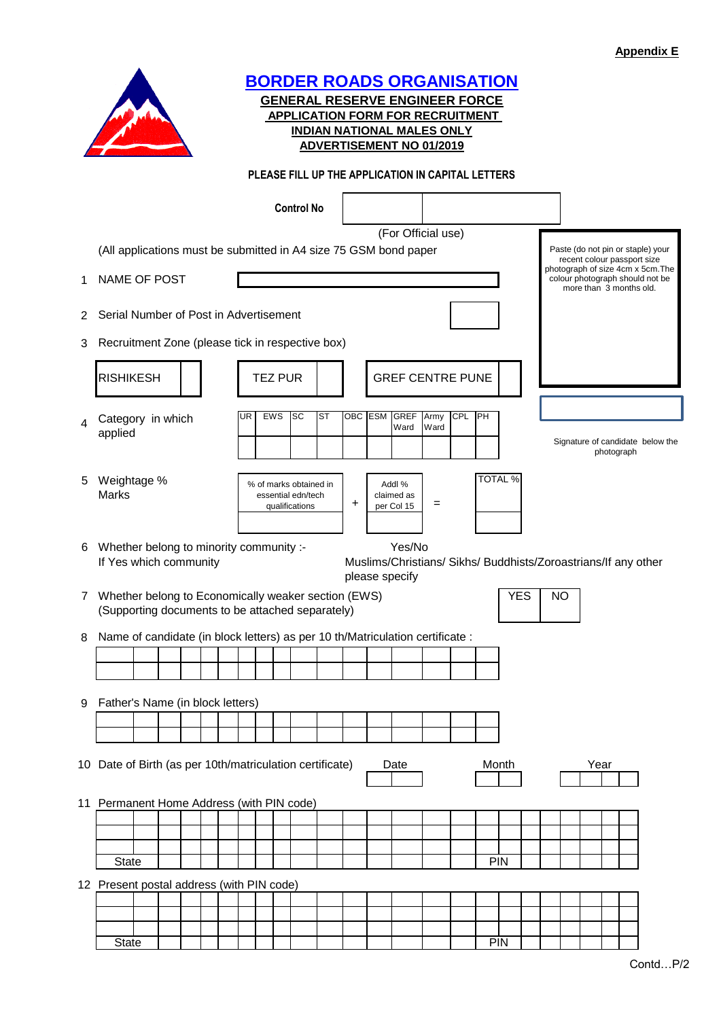|    |                                                                                                         | <b>BORDER ROADS ORGANISATION</b><br><b>GENERAL RESERVE ENGINEER FORCE</b><br><b>APPLICATION FORM FOR RECRUITMENT</b> | <b>INDIAN NATIONAL MALES ONLY</b><br><b>ADVERTISEMENT NO 01/2019</b> |                                  |                                                                                                 |
|----|---------------------------------------------------------------------------------------------------------|----------------------------------------------------------------------------------------------------------------------|----------------------------------------------------------------------|----------------------------------|-------------------------------------------------------------------------------------------------|
|    |                                                                                                         | PLEASE FILL UP THE APPLICATION IN CAPITAL LETTERS                                                                    |                                                                      |                                  |                                                                                                 |
|    |                                                                                                         | <b>Control No</b>                                                                                                    |                                                                      |                                  |                                                                                                 |
|    | (All applications must be submitted in A4 size 75 GSM bond paper                                        |                                                                                                                      | (For Official use)                                                   |                                  | Paste (do not pin or staple) your<br>recent colour passport size                                |
| 1  | NAME OF POST                                                                                            |                                                                                                                      |                                                                      |                                  | photograph of size 4cm x 5cm. The<br>colour photograph should not be<br>more than 3 months old. |
| 2  | Serial Number of Post in Advertisement                                                                  |                                                                                                                      |                                                                      |                                  |                                                                                                 |
| 3  | Recruitment Zone (please tick in respective box)                                                        |                                                                                                                      |                                                                      |                                  |                                                                                                 |
|    | <b>RISHIKESH</b>                                                                                        | <b>TEZ PUR</b>                                                                                                       |                                                                      | <b>GREF CENTRE PUNE</b>          |                                                                                                 |
| 4  | Category in which<br>applied                                                                            | <b>EWS</b><br><b>SC</b><br><b>ST</b><br>UR                                                                           | OBC ESM GREF<br>Ward                                                 | <b>CPL</b><br>PH<br>Army<br>Ward | Signature of candidate below the                                                                |
|    |                                                                                                         |                                                                                                                      |                                                                      |                                  | photograph                                                                                      |
| 5  | Weightage %<br><b>Marks</b>                                                                             | % of marks obtained in<br>essential edn/tech<br>qualifications                                                       | Addl %<br>claimed as<br>+<br>per Col 15                              | <b>TOTAL %</b><br>$=$            |                                                                                                 |
|    | 6 Whether belong to minority community :-<br>If Yes which community                                     |                                                                                                                      | Yes/No<br>please specify                                             |                                  | Muslims/Christians/ Sikhs/ Buddhists/Zoroastrians/If any other                                  |
| 7  | Whether belong to Economically weaker section (EWS)<br>(Supporting documents to be attached separately) |                                                                                                                      |                                                                      | <b>YES</b>                       | NO                                                                                              |
| 8  | Name of candidate (in block letters) as per 10 th/Matriculation certificate :                           |                                                                                                                      |                                                                      |                                  |                                                                                                 |
|    |                                                                                                         |                                                                                                                      |                                                                      |                                  |                                                                                                 |
| 9  | Father's Name (in block letters)                                                                        |                                                                                                                      |                                                                      |                                  |                                                                                                 |
|    |                                                                                                         |                                                                                                                      |                                                                      |                                  |                                                                                                 |
|    | 10 Date of Birth (as per 10th/matriculation certificate)                                                |                                                                                                                      | Date                                                                 | Month                            | Year                                                                                            |
| 11 | Permanent Home Address (with PIN code)                                                                  |                                                                                                                      |                                                                      |                                  |                                                                                                 |
|    |                                                                                                         |                                                                                                                      |                                                                      |                                  |                                                                                                 |
|    | <b>State</b>                                                                                            |                                                                                                                      |                                                                      | <b>PIN</b>                       |                                                                                                 |
|    | 12 Present postal address (with PIN code)                                                               |                                                                                                                      |                                                                      |                                  |                                                                                                 |
|    |                                                                                                         |                                                                                                                      |                                                                      |                                  |                                                                                                 |
|    | <b>State</b>                                                                                            |                                                                                                                      |                                                                      | PIN                              |                                                                                                 |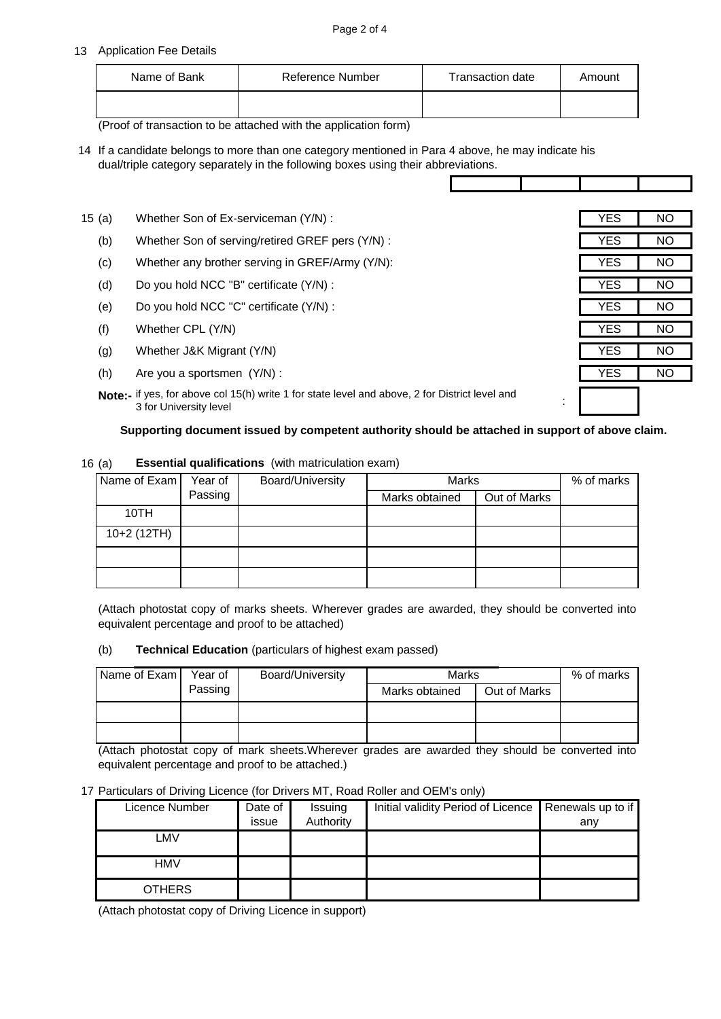#### 13 Application Fee Details

| Name of Bank | Reference Number                                                                                                                                                                                                                 | Transaction date | Amount |
|--------------|----------------------------------------------------------------------------------------------------------------------------------------------------------------------------------------------------------------------------------|------------------|--------|
|              |                                                                                                                                                                                                                                  |                  |        |
|              | $\sqrt{2}$ , and the contract of the contract of the contract of the contract of the contract of the contract of the contract of the contract of the contract of the contract of the contract of the contract of the contract of |                  |        |

(Proof of transaction to be attached with the application form)

- 14 If a candidate belongs to more than one category mentioned in Para 4 above, he may indicate his dual/triple category separately in the following boxes using their abbreviations.
- 15 (a) Whether Son of Ex-serviceman (Y/N) : NO
	- (b) Whether Son of serving/retired GREF pers (Y/N) : NO
	- (c) Whether any brother serving in GREF/Army (Y/N): NO
	- (d) Do you hold NCC "B" certificate  $(Y/N)$  : NO  $\overline{Y}$  and  $\overline{Y}$  and  $\overline{Y}$  and  $\overline{Y}$  and  $\overline{Y}$  and  $\overline{Y}$  and  $\overline{Y}$  and  $\overline{Y}$  and  $\overline{Y}$  and  $\overline{Y}$  and  $\overline{Y}$  and  $\overline{Y}$  and  $\overline{Y}$  and  $\overline{$
	- (e) Do you hold NCC "C" certificate (Y/N) : NO
	- (f) Whether CPL  $(Y/N)$   $YES$  NO
	- (g) Whether J&K Migrant (Y/N) Note that the set of the set of the set of the set of the set of the set of the set of the set of the set of the set of the set of the set of the set of the set of the set of the set of the se
	- (h) Are you a sportsmen (Y/N) : YES NO
- YES YES YES YES YES YES YES
	- **Note:-** if yes, for above col 15(h) write 1 for state level and above, 2 for District level and<br>3 for University level 3 for University level

**Supporting document issued by competent authority should be attached in support of above claim.** 

#### 16 (a) **Essential qualifications** (with matriculation exam)

| Name of Exam  | Year of | Board/University | Marks          |              | % of marks |
|---------------|---------|------------------|----------------|--------------|------------|
|               | Passing |                  | Marks obtained | Out of Marks |            |
| 10TH          |         |                  |                |              |            |
| $10+2$ (12TH) |         |                  |                |              |            |
|               |         |                  |                |              |            |
|               |         |                  |                |              |            |

(Attach photostat copy of marks sheets. Wherever grades are awarded, they should be converted into equivalent percentage and proof to be attached)

#### (b) **Technical Education** (particulars of highest exam passed)

| Name of Exam | Year of | Board/University | Marks          |              | % of marks |
|--------------|---------|------------------|----------------|--------------|------------|
|              | Passing |                  | Marks obtained | Out of Marks |            |
|              |         |                  |                |              |            |
|              |         |                  |                |              |            |

(Attach photostat copy of mark sheets.Wherever grades are awarded they should be converted into equivalent percentage and proof to be attached.)

#### 17 Particulars of Driving Licence (for Drivers MT, Road Roller and OEM's only)

| Licence Number | Date of | Issuing   | Initial validity Period of Licence   Renewals up to if |     |
|----------------|---------|-----------|--------------------------------------------------------|-----|
|                | issue   | Authority |                                                        | any |
| LMV            |         |           |                                                        |     |
|                |         |           |                                                        |     |
| <b>HMV</b>     |         |           |                                                        |     |
| <b>OTHERS</b>  |         |           |                                                        |     |

(Attach photostat copy of Driving Licence in support)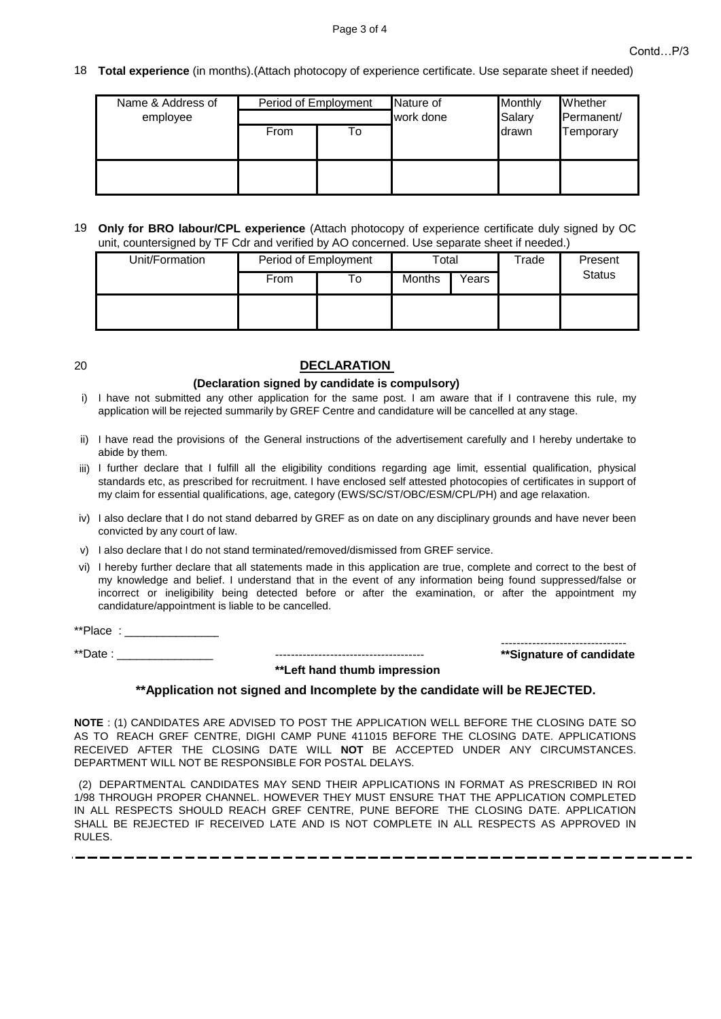18 **Total experience** (in months).(Attach photocopy of experience certificate. Use separate sheet if needed)

| Name & Address of<br>employee | Period of Employment |    | Nature of<br>work done | Monthly<br>Salary | Whether<br>Permanent/ |
|-------------------------------|----------------------|----|------------------------|-------------------|-----------------------|
|                               | From                 | То |                        | drawn             | Temporary             |
|                               |                      |    |                        |                   |                       |

#### 19 **Only for BRO labour/CPL experience** (Attach photocopy of experience certificate duly signed by OC unit, countersigned by TF Cdr and verified by AO concerned. Use separate sheet if needed.)

| $\cdot$        |                      |    |               |       |                  |               |
|----------------|----------------------|----|---------------|-------|------------------|---------------|
| Unit/Formation | Period of Employment |    | Total         |       | ™rade<br>Present |               |
|                | From                 | To | <b>Months</b> | Years |                  | <b>Status</b> |
|                |                      |    |               |       |                  |               |

#### 20 **DECLARATION**

#### **(Declaration signed by candidate is compulsory)**

- i) I have not submitted any other application for the same post. I am aware that if I contravene this rule, my application will be rejected summarily by GREF Centre and candidature will be cancelled at any stage.
- ii) I have read the provisions of the General instructions of the advertisement carefully and I hereby undertake to abide by them.
- iii) I further declare that I fulfill all the eligibility conditions regarding age limit, essential qualification, physical standards etc, as prescribed for recruitment. I have enclosed self attested photocopies of certificates in support of my claim for essential qualifications, age, category (EWS/SC/ST/OBC/ESM/CPL/PH) and age relaxation.
- iv) I also declare that I do not stand debarred by GREF as on date on any disciplinary grounds and have never been convicted by any court of law.
- v) I also declare that I do not stand terminated/removed/dismissed from GREF service.
- vi) I hereby further declare that all statements made in this application are true, complete and correct to the best of my knowledge and belief. I understand that in the event of any information being found suppressed/false or incorrect or ineligibility being detected before or after the examination, or after the appointment my candidature/appointment is liable to be cancelled.

 $*$ \*Place :

 $*$ \*Date :  $\_\_$ 

#### -------------------------------------- **\*\*Signature of candidate \*\*Left hand thumb impression**

**\*\*Application not signed and Incomplete by the candidate will be REJECTED.**

--------------------------------

**NOTE** : (1) CANDIDATES ARE ADVISED TO POST THE APPLICATION WELL BEFORE THE CLOSING DATE SO AS TO REACH GREF CENTRE, DIGHI CAMP PUNE 411015 BEFORE THE CLOSING DATE. APPLICATIONS RECEIVED AFTER THE CLOSING DATE WILL **NOT** BE ACCEPTED UNDER ANY CIRCUMSTANCES. DEPARTMENT WILL NOT BE RESPONSIBLE FOR POSTAL DELAYS.

(2) DEPARTMENTAL CANDIDATES MAY SEND THEIR APPLICATIONS IN FORMAT AS PRESCRIBED IN ROI 1/98 THROUGH PROPER CHANNEL. HOWEVER THEY MUST ENSURE THAT THE APPLICATION COMPLETED IN ALL RESPECTS SHOULD REACH GREF CENTRE, PUNE BEFORE THE CLOSING DATE. APPLICATION SHALL BE REJECTED IF RECEIVED LATE AND IS NOT COMPLETE IN ALL RESPECTS AS APPROVED IN RULES.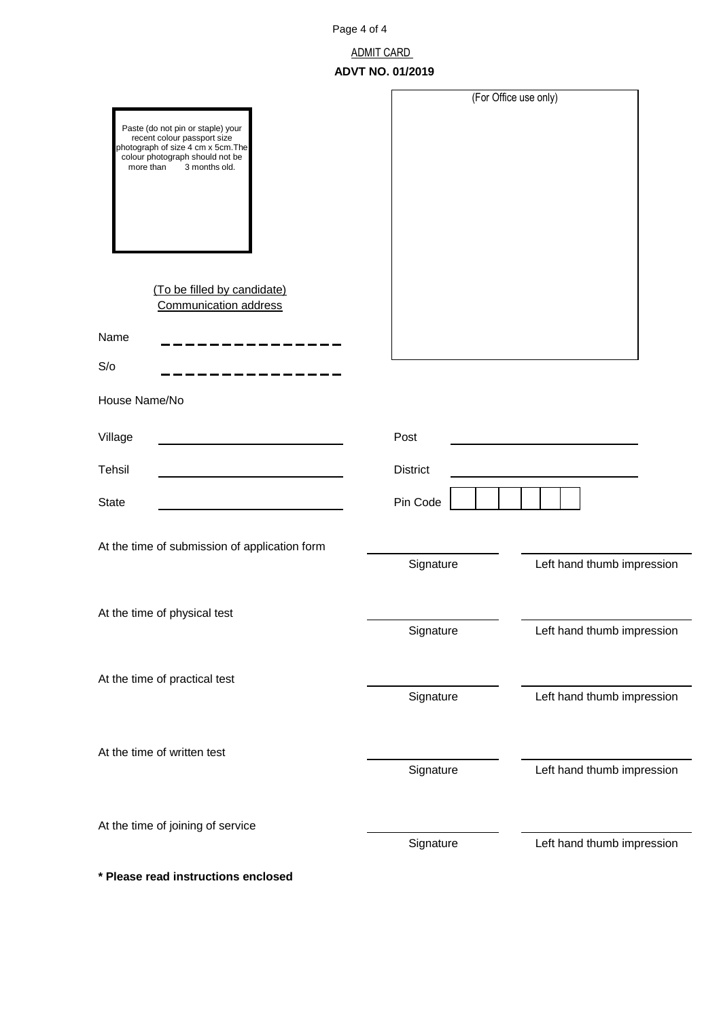#### Page 4 of 4

#### ADMIT CARD

#### **ADVT NO. 01/2019**

|                                                                                                                                                                         |                 | (For Office use only)      |
|-------------------------------------------------------------------------------------------------------------------------------------------------------------------------|-----------------|----------------------------|
| Paste (do not pin or staple) your<br>recent colour passport size<br>photograph of size 4 cm x 5cm. The<br>colour photograph should not be<br>more than<br>3 months old. |                 |                            |
| (To be filled by candidate)<br><b>Communication address</b>                                                                                                             |                 |                            |
| Name                                                                                                                                                                    |                 |                            |
| S/O                                                                                                                                                                     |                 |                            |
| House Name/No                                                                                                                                                           |                 |                            |
| Village                                                                                                                                                                 | Post            |                            |
| Tehsil                                                                                                                                                                  | <b>District</b> |                            |
| <b>State</b>                                                                                                                                                            | Pin Code        |                            |
| At the time of submission of application form                                                                                                                           | Signature       | Left hand thumb impression |
| At the time of physical test                                                                                                                                            | Signature       | Left hand thumb impression |
| At the time of practical test                                                                                                                                           |                 |                            |
|                                                                                                                                                                         | Signature       | Left hand thumb impression |
| At the time of written test                                                                                                                                             | Signature       | Left hand thumb impression |
| At the time of joining of service                                                                                                                                       | Signature       | Left hand thumb impression |
| * Please read instructions enclosed                                                                                                                                     |                 |                            |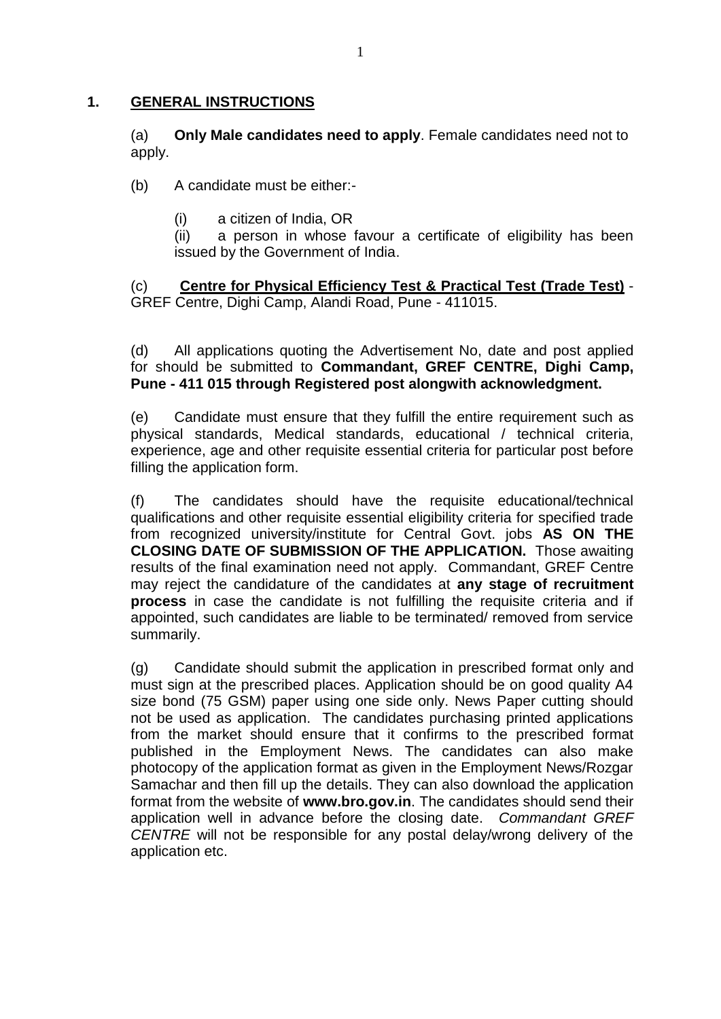# **1. GENERAL INSTRUCTIONS**

(a) **Only Male candidates need to apply**. Female candidates need not to apply.

(b) A candidate must be either:-

(i) a citizen of India, OR

(ii) a person in whose favour a certificate of eligibility has been issued by the Government of India.

(c) **Centre for Physical Efficiency Test & Practical Test (Trade Test)** - GREF Centre, Dighi Camp, Alandi Road, Pune - 411015.

(d) All applications quoting the Advertisement No, date and post applied for should be submitted to **Commandant, GREF CENTRE, Dighi Camp, Pune - 411 015 through Registered post alongwith acknowledgment.**

(e) Candidate must ensure that they fulfill the entire requirement such as physical standards, Medical standards, educational / technical criteria, experience, age and other requisite essential criteria for particular post before filling the application form.

(f) The candidates should have the requisite educational/technical qualifications and other requisite essential eligibility criteria for specified trade from recognized university/institute for Central Govt. jobs **AS ON THE CLOSING DATE OF SUBMISSION OF THE APPLICATION.** Those awaiting results of the final examination need not apply. Commandant, GREF Centre may reject the candidature of the candidates at **any stage of recruitment process** in case the candidate is not fulfilling the requisite criteria and if appointed, such candidates are liable to be terminated/ removed from service summarily.

(g) Candidate should submit the application in prescribed format only and must sign at the prescribed places. Application should be on good quality A4 size bond (75 GSM) paper using one side only. News Paper cutting should not be used as application. The candidates purchasing printed applications from the market should ensure that it confirms to the prescribed format published in the Employment News. The candidates can also make photocopy of the application format as given in the Employment News/Rozgar Samachar and then fill up the details. They can also download the application format from the website of **www.bro.gov.in**. The candidates should send their application well in advance before the closing date. *Commandant GREF CENTRE* will not be responsible for any postal delay/wrong delivery of the application etc.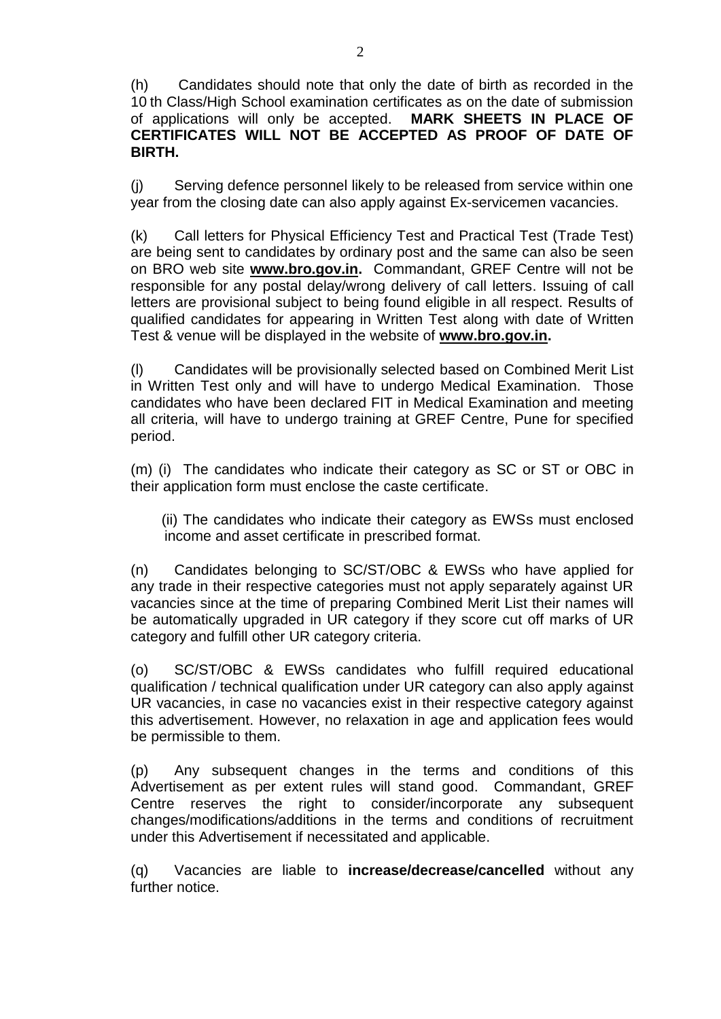(h) Candidates should note that only the date of birth as recorded in the 10 th Class/High School examination certificates as on the date of submission of applications will only be accepted. **MARK SHEETS IN PLACE OF CERTIFICATES WILL NOT BE ACCEPTED AS PROOF OF DATE OF BIRTH.**

(j) Serving defence personnel likely to be released from service within one year from the closing date can also apply against Ex-servicemen vacancies.

(k) Call letters for Physical Efficiency Test and Practical Test (Trade Test) are being sent to candidates by ordinary post and the same can also be seen on BRO web site **[www.bro.gov.in.](http://www.bro.gov.in/)** Commandant, GREF Centre will not be responsible for any postal delay/wrong delivery of call letters. Issuing of call letters are provisional subject to being found eligible in all respect. Results of qualified candidates for appearing in Written Test along with date of Written Test & venue will be displayed in the website of **[www.bro.gov.in.](http://www.bro.gov.in/)** 

(l) Candidates will be provisionally selected based on Combined Merit List in Written Test only and will have to undergo Medical Examination. Those candidates who have been declared FIT in Medical Examination and meeting all criteria, will have to undergo training at GREF Centre, Pune for specified period.

(m) (i) The candidates who indicate their category as SC or ST or OBC in their application form must enclose the caste certificate.

 (ii) The candidates who indicate their category as EWSs must enclosed income and asset certificate in prescribed format.

(n) Candidates belonging to SC/ST/OBC & EWSs who have applied for any trade in their respective categories must not apply separately against UR vacancies since at the time of preparing Combined Merit List their names will be automatically upgraded in UR category if they score cut off marks of UR category and fulfill other UR category criteria.

(o) SC/ST/OBC & EWSs candidates who fulfill required educational qualification / technical qualification under UR category can also apply against UR vacancies, in case no vacancies exist in their respective category against this advertisement. However, no relaxation in age and application fees would be permissible to them.

(p) Any subsequent changes in the terms and conditions of this Advertisement as per extent rules will stand good. Commandant, GREF Centre reserves the right to consider/incorporate any subsequent changes/modifications/additions in the terms and conditions of recruitment under this Advertisement if necessitated and applicable.

(q) Vacancies are liable to **increase/decrease/cancelled** without any further notice.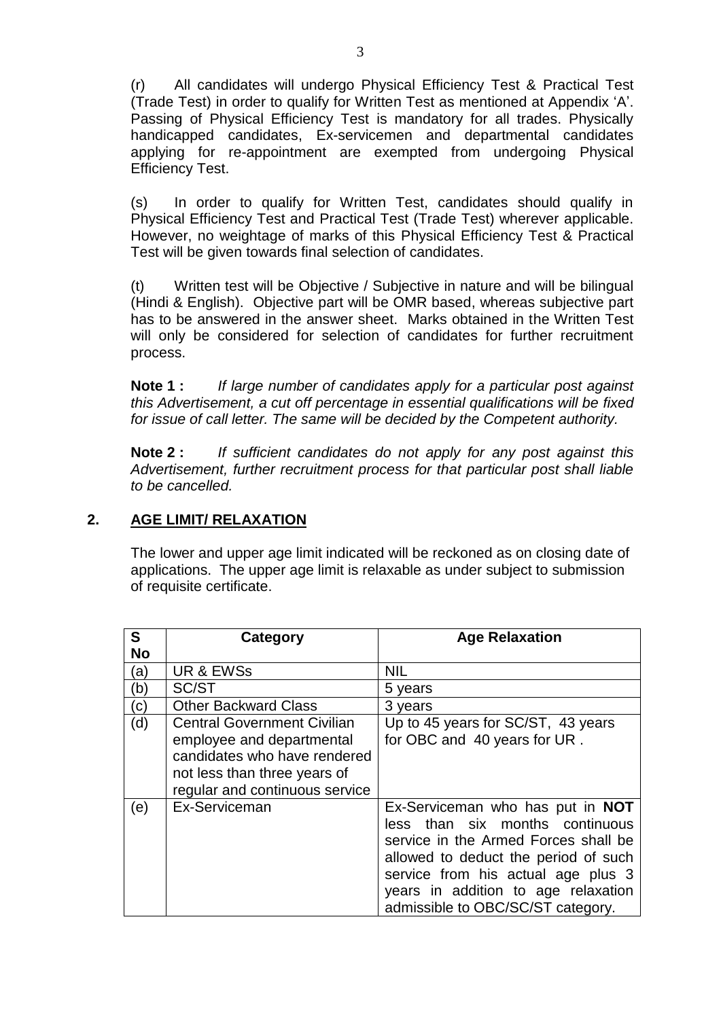(r) All candidates will undergo Physical Efficiency Test & Practical Test (Trade Test) in order to qualify for Written Test as mentioned at Appendix 'A'. Passing of Physical Efficiency Test is mandatory for all trades. Physically handicapped candidates, Ex-servicemen and departmental candidates applying for re-appointment are exempted from undergoing Physical Efficiency Test.

(s) In order to qualify for Written Test, candidates should qualify in Physical Efficiency Test and Practical Test (Trade Test) wherever applicable. However, no weightage of marks of this Physical Efficiency Test & Practical Test will be given towards final selection of candidates.

(t) Written test will be Objective / Subjective in nature and will be bilingual (Hindi & English). Objective part will be OMR based, whereas subjective part has to be answered in the answer sheet. Marks obtained in the Written Test will only be considered for selection of candidates for further recruitment process.

**Note 1 :** *If large number of candidates apply for a particular post against this Advertisement, a cut off percentage in essential qualifications will be fixed for issue of call letter. The same will be decided by the Competent authority.*

**Note 2 :** *If sufficient candidates do not apply for any post against this Advertisement, further recruitment process for that particular post shall liable to be cancelled.*

#### **2. AGE LIMIT/ RELAXATION**

The lower and upper age limit indicated will be reckoned as on closing date of applications. The upper age limit is relaxable as under subject to submission of requisite certificate.

| S.        | Category                                                                                                                                                          | <b>Age Relaxation</b>                                                                                                                                                                                                                                                 |
|-----------|-------------------------------------------------------------------------------------------------------------------------------------------------------------------|-----------------------------------------------------------------------------------------------------------------------------------------------------------------------------------------------------------------------------------------------------------------------|
| <b>No</b> |                                                                                                                                                                   |                                                                                                                                                                                                                                                                       |
| (a)       | <b>UR &amp; EWSs</b>                                                                                                                                              | <b>NIL</b>                                                                                                                                                                                                                                                            |
| (b)       | SC/ST                                                                                                                                                             | 5 years                                                                                                                                                                                                                                                               |
| (c)       | <b>Other Backward Class</b>                                                                                                                                       | 3 years                                                                                                                                                                                                                                                               |
| (d)       | <b>Central Government Civilian</b><br>employee and departmental<br>candidates who have rendered<br>not less than three years of<br>regular and continuous service | Up to 45 years for SC/ST, 43 years<br>for OBC and 40 years for UR.                                                                                                                                                                                                    |
| (e)       | Ex-Serviceman                                                                                                                                                     | Ex-Serviceman who has put in NOT<br>less than six months continuous<br>service in the Armed Forces shall be<br>allowed to deduct the period of such<br>service from his actual age plus 3<br>years in addition to age relaxation<br>admissible to OBC/SC/ST category. |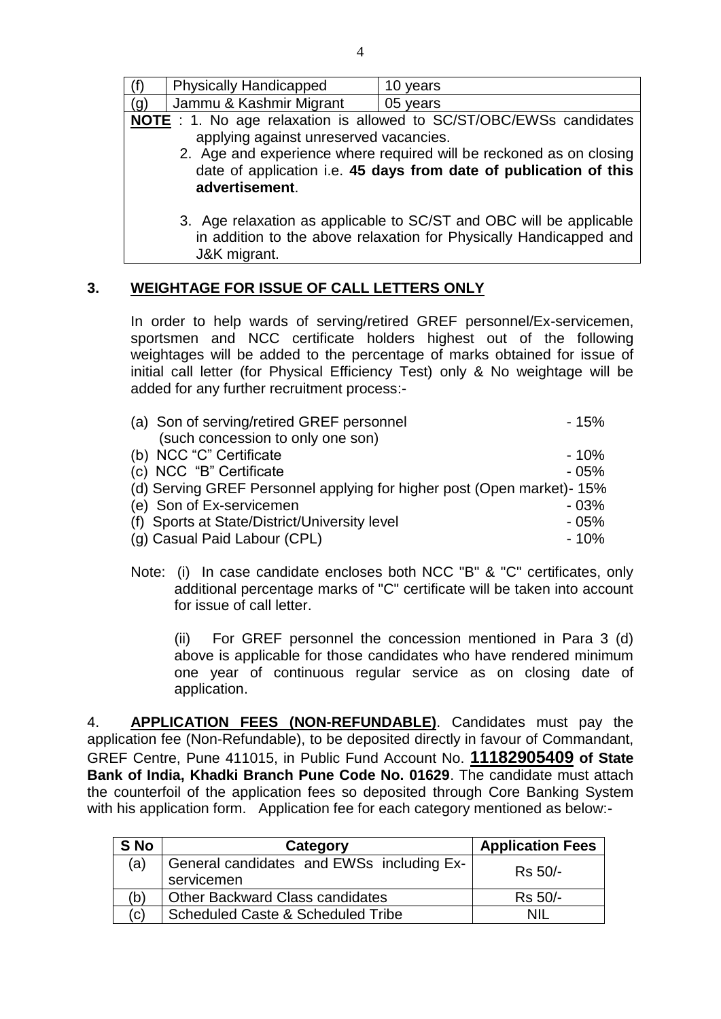|     | <b>Physically Handicapped</b>                                                                                                                                                                                                                                                      | 10 years |  |  |  |  |  |
|-----|------------------------------------------------------------------------------------------------------------------------------------------------------------------------------------------------------------------------------------------------------------------------------------|----------|--|--|--|--|--|
| (g) | Jammu & Kashmir Migrant                                                                                                                                                                                                                                                            | 05 years |  |  |  |  |  |
|     | <b>NOTE</b> : 1. No age relaxation is allowed to SC/ST/OBC/EWSs candidates<br>applying against unreserved vacancies.<br>2. Age and experience where required will be reckoned as on closing<br>date of application i.e. 45 days from date of publication of this<br>advertisement. |          |  |  |  |  |  |
|     | 3. Age relaxation as applicable to SC/ST and OBC will be applicable<br>in addition to the above relaxation for Physically Handicapped and<br>J&K migrant.                                                                                                                          |          |  |  |  |  |  |

# **3. WEIGHTAGE FOR ISSUE OF CALL LETTERS ONLY**

In order to help wards of serving/retired GREF personnel/Ex-servicemen, sportsmen and NCC certificate holders highest out of the following weightages will be added to the percentage of marks obtained for issue of initial call letter (for Physical Efficiency Test) only & No weightage will be added for any further recruitment process:-

| (a) Son of serving/retired GREF personnel                               | - 15%  |
|-------------------------------------------------------------------------|--------|
| (such concession to only one son)                                       |        |
| (b) NCC "C" Certificate                                                 | - 10%  |
| (c) NCC "B" Certificate                                                 | $-05%$ |
| (d) Serving GREF Personnel applying for higher post (Open market) - 15% |        |
| (e) Son of Ex-servicemen                                                | $-03%$ |
| (f) Sports at State/District/University level                           | $-05%$ |
| (g) Casual Paid Labour (CPL)                                            | $-10%$ |
|                                                                         |        |

Note: (i) In case candidate encloses both NCC "B" & "C" certificates, only additional percentage marks of "C" certificate will be taken into account for issue of call letter.

(ii) For GREF personnel the concession mentioned in Para 3 (d) above is applicable for those candidates who have rendered minimum one year of continuous regular service as on closing date of application.

4. **APPLICATION FEES (NON-REFUNDABLE)**. Candidates must pay the application fee (Non-Refundable), to be deposited directly in favour of Commandant, GREF Centre, Pune 411015, in Public Fund Account No. **11182905409 of State Bank of India, Khadki Branch Pune Code No. 01629**. The candidate must attach the counterfoil of the application fees so deposited through Core Banking System with his application form. Application fee for each category mentioned as below:-

| S No | Category                                                | <b>Application Fees</b> |
|------|---------------------------------------------------------|-------------------------|
| (a)  | General candidates and EWSs including Ex-<br>servicemen | Rs 50/-                 |
| 'b)  | <b>Other Backward Class candidates</b>                  | Rs 50/-                 |
| 'c)  | <b>Scheduled Caste &amp; Scheduled Tribe</b>            | NII                     |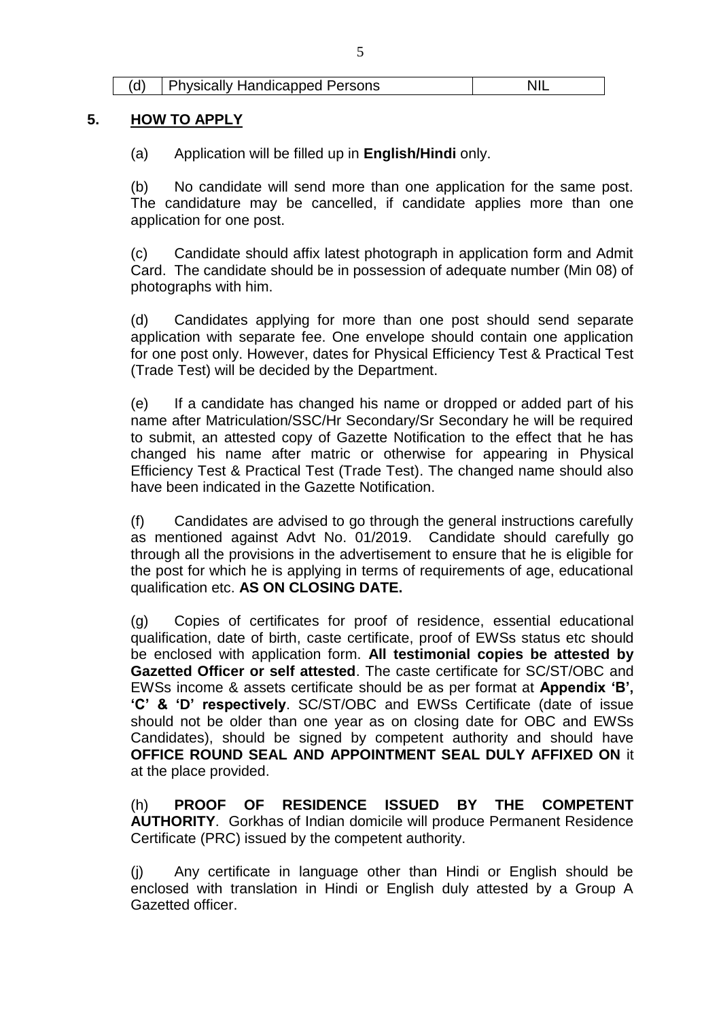| <b>Physically Handicapped Persons</b> | AIL' |
|---------------------------------------|------|
|---------------------------------------|------|

#### **5. HOW TO APPLY**

(a) Application will be filled up in **English/Hindi** only.

(b) No candidate will send more than one application for the same post. The candidature may be cancelled, if candidate applies more than one application for one post.

(c) Candidate should affix latest photograph in application form and Admit Card. The candidate should be in possession of adequate number (Min 08) of photographs with him.

(d) Candidates applying for more than one post should send separate application with separate fee. One envelope should contain one application for one post only. However, dates for Physical Efficiency Test & Practical Test (Trade Test) will be decided by the Department.

(e) If a candidate has changed his name or dropped or added part of his name after Matriculation/SSC/Hr Secondary/Sr Secondary he will be required to submit, an attested copy of Gazette Notification to the effect that he has changed his name after matric or otherwise for appearing in Physical Efficiency Test & Practical Test (Trade Test). The changed name should also have been indicated in the Gazette Notification.

(f) Candidates are advised to go through the general instructions carefully as mentioned against Advt No. 01/2019. Candidate should carefully go through all the provisions in the advertisement to ensure that he is eligible for the post for which he is applying in terms of requirements of age, educational qualification etc. **AS ON CLOSING DATE.**

(g) Copies of certificates for proof of residence, essential educational qualification, date of birth, caste certificate, proof of EWSs status etc should be enclosed with application form. **All testimonial copies be attested by Gazetted Officer or self attested**. The caste certificate for SC/ST/OBC and EWSs income & assets certificate should be as per format at **Appendix 'B', 'C' & 'D' respectively**. SC/ST/OBC and EWSs Certificate (date of issue should not be older than one year as on closing date for OBC and EWSs Candidates), should be signed by competent authority and should have **OFFICE ROUND SEAL AND APPOINTMENT SEAL DULY AFFIXED ON** it at the place provided.

(h) **PROOF OF RESIDENCE ISSUED BY THE COMPETENT AUTHORITY**. Gorkhas of Indian domicile will produce Permanent Residence Certificate (PRC) issued by the competent authority.

(j) Any certificate in language other than Hindi or English should be enclosed with translation in Hindi or English duly attested by a Group A Gazetted officer.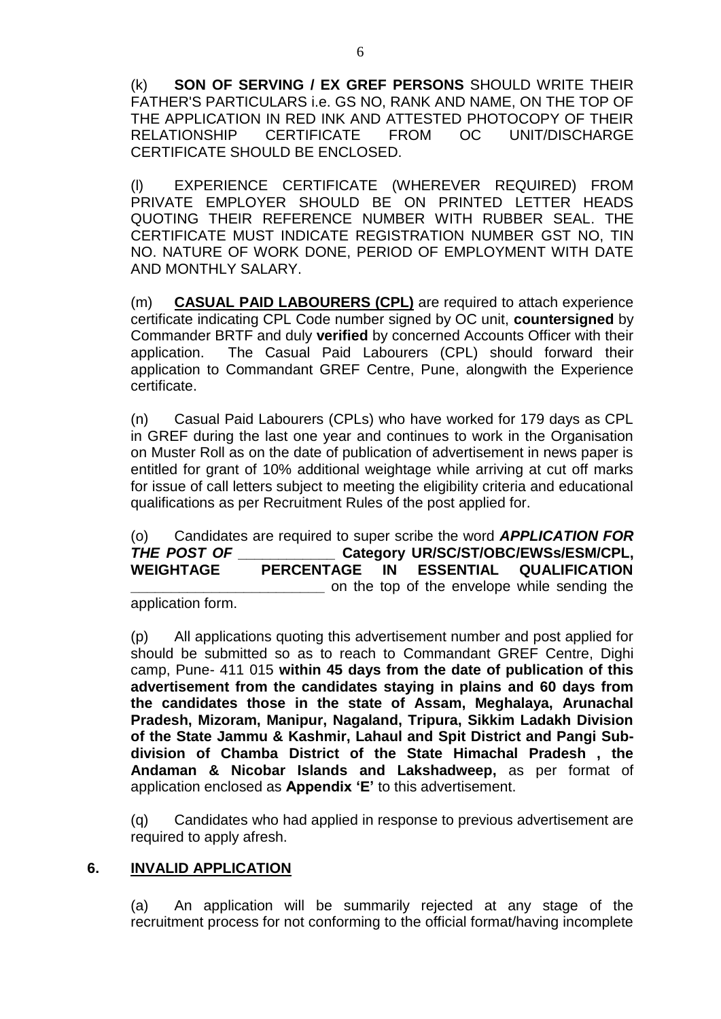(k) **SON OF SERVING / EX GREF PERSONS** SHOULD WRITE THEIR FATHER'S PARTICULARS i.e. GS NO, RANK AND NAME, ON THE TOP OF THE APPLICATION IN RED INK AND ATTESTED PHOTOCOPY OF THEIR RELATIONSHIP CERTIFICATE FROM OC UNIT/DISCHARGE CERTIFICATE SHOULD BE ENCLOSED.

(l) EXPERIENCE CERTIFICATE (WHEREVER REQUIRED) FROM PRIVATE EMPLOYER SHOULD BE ON PRINTED LETTER HEADS QUOTING THEIR REFERENCE NUMBER WITH RUBBER SEAL. THE CERTIFICATE MUST INDICATE REGISTRATION NUMBER GST NO, TIN NO. NATURE OF WORK DONE, PERIOD OF EMPLOYMENT WITH DATE AND MONTHLY SALARY.

(m) **CASUAL PAID LABOURERS (CPL)** are required to attach experience certificate indicating CPL Code number signed by OC unit, **countersigned** by Commander BRTF and duly **verified** by concerned Accounts Officer with their application. The Casual Paid Labourers (CPL) should forward their application to Commandant GREF Centre, Pune, alongwith the Experience certificate.

(n) Casual Paid Labourers (CPLs) who have worked for 179 days as CPL in GREF during the last one year and continues to work in the Organisation on Muster Roll as on the date of publication of advertisement in news paper is entitled for grant of 10% additional weightage while arriving at cut off marks for issue of call letters subject to meeting the eligibility criteria and educational qualifications as per Recruitment Rules of the post applied for.

(o) Candidates are required to super scribe the word *APPLICATION FOR THE POST OF \_\_\_\_\_\_\_\_\_\_\_\_* **Category UR/SC/ST/OBC/EWSs/ESM/CPL, WEIGHTAGE PERCENTAGE IN ESSENTIAL QUALIFICATION \_\_\_\_\_\_\_\_\_\_\_\_\_\_\_\_\_\_\_\_\_\_\_\_** on the top of the envelope while sending the

application form.

(p) All applications quoting this advertisement number and post applied for should be submitted so as to reach to Commandant GREF Centre, Dighi camp, Pune- 411 015 **within 45 days from the date of publication of this advertisement from the candidates staying in plains and 60 days from the candidates those in the state of Assam, Meghalaya, Arunachal Pradesh, Mizoram, Manipur, Nagaland, Tripura, Sikkim Ladakh Division of the State Jammu & Kashmir, Lahaul and Spit District and Pangi Subdivision of Chamba District of the State Himachal Pradesh , the Andaman & Nicobar Islands and Lakshadweep,** as per format of application enclosed as **Appendix 'E'** to this advertisement.

(q) Candidates who had applied in response to previous advertisement are required to apply afresh.

#### **6. INVALID APPLICATION**

(a) An application will be summarily rejected at any stage of the recruitment process for not conforming to the official format/having incomplete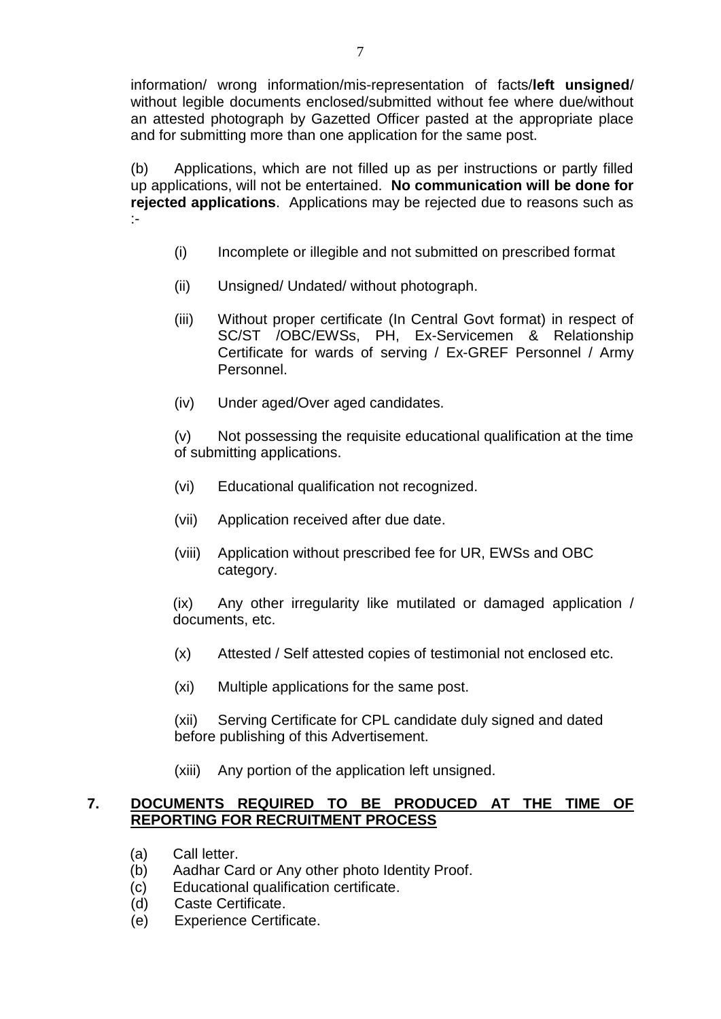information/ wrong information/mis-representation of facts/**left unsigned**/ without legible documents enclosed/submitted without fee where due/without an attested photograph by Gazetted Officer pasted at the appropriate place and for submitting more than one application for the same post.

(b) Applications, which are not filled up as per instructions or partly filled up applications, will not be entertained. **No communication will be done for rejected applications**. Applications may be rejected due to reasons such as :-

- (i) Incomplete or illegible and not submitted on prescribed format
- (ii) Unsigned/ Undated/ without photograph.
- (iii) Without proper certificate (In Central Govt format) in respect of SC/ST /OBC/EWSs, PH, Ex-Servicemen & Relationship Certificate for wards of serving / Ex-GREF Personnel / Army Personnel.
- (iv) Under aged/Over aged candidates.

(v) Not possessing the requisite educational qualification at the time of submitting applications.

- (vi) Educational qualification not recognized.
- (vii) Application received after due date.
- (viii) Application without prescribed fee for UR, EWSs and OBC category.

(ix) Any other irregularity like mutilated or damaged application / documents, etc.

- (x) Attested / Self attested copies of testimonial not enclosed etc.
- (xi) Multiple applications for the same post.

(xii) Serving Certificate for CPL candidate duly signed and dated before publishing of this Advertisement.

(xiii) Any portion of the application left unsigned.

#### **7. DOCUMENTS REQUIRED TO BE PRODUCED AT THE TIME OF REPORTING FOR RECRUITMENT PROCESS**

- (a) Call letter.
- (b) Aadhar Card or Any other photo Identity Proof.
- (c) Educational qualification certificate.
- (d) Caste Certificate.
- (e) Experience Certificate.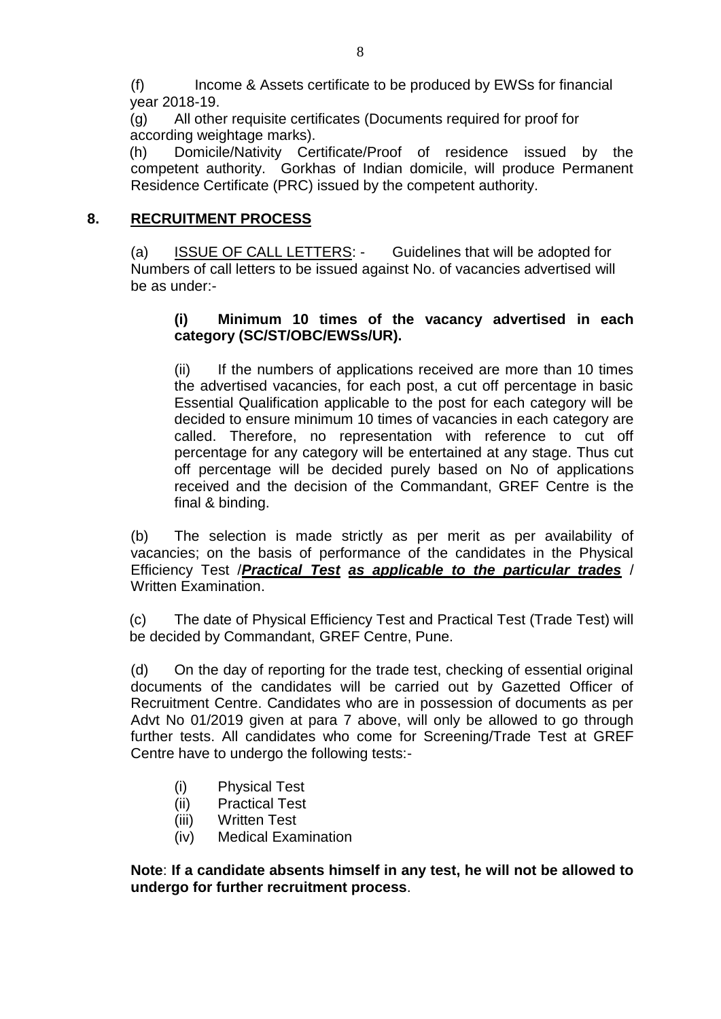(f) Income & Assets certificate to be produced by EWSs for financial year 2018-19.

(g) All other requisite certificates (Documents required for proof for according weightage marks).

(h) Domicile/Nativity Certificate/Proof of residence issued by the competent authority. Gorkhas of Indian domicile, will produce Permanent Residence Certificate (PRC) issued by the competent authority.

# **8. RECRUITMENT PROCESS**

(a) ISSUE OF CALL LETTERS: - Guidelines that will be adopted for Numbers of call letters to be issued against No. of vacancies advertised will be as under:-

### **(i) Minimum 10 times of the vacancy advertised in each category (SC/ST/OBC/EWSs/UR).**

(ii) If the numbers of applications received are more than 10 times the advertised vacancies, for each post, a cut off percentage in basic Essential Qualification applicable to the post for each category will be decided to ensure minimum 10 times of vacancies in each category are called. Therefore, no representation with reference to cut off percentage for any category will be entertained at any stage. Thus cut off percentage will be decided purely based on No of applications received and the decision of the Commandant, GREF Centre is the final & binding.

(b) The selection is made strictly as per merit as per availability of vacancies; on the basis of performance of the candidates in the Physical Efficiency Test /*Practical Test as applicable to the particular trades* / Written Examination.

(c) The date of Physical Efficiency Test and Practical Test (Trade Test) will be decided by Commandant, GREF Centre, Pune.

(d) On the day of reporting for the trade test, checking of essential original documents of the candidates will be carried out by Gazetted Officer of Recruitment Centre. Candidates who are in possession of documents as per Advt No 01/2019 given at para 7 above, will only be allowed to go through further tests. All candidates who come for Screening/Trade Test at GREF Centre have to undergo the following tests:-

- (i) Physical Test
- (ii) Practical Test
- (iii) Written Test
- (iv) Medical Examination

**Note**: **If a candidate absents himself in any test, he will not be allowed to undergo for further recruitment process**.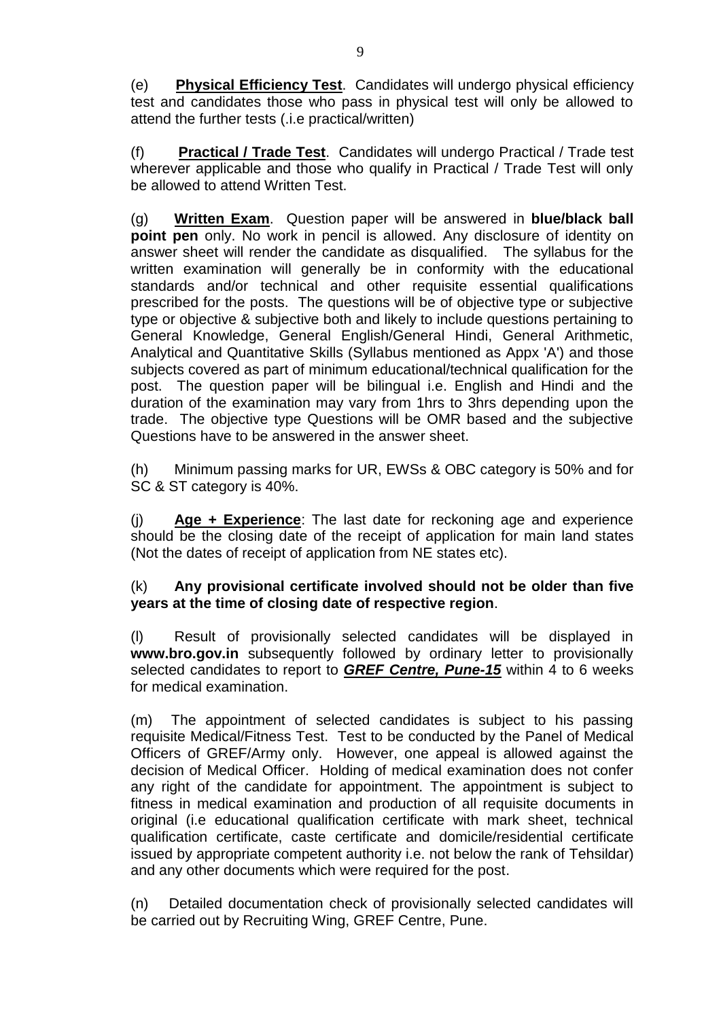(e) **Physical Efficiency Test**. Candidates will undergo physical efficiency test and candidates those who pass in physical test will only be allowed to attend the further tests (.i.e practical/written)

(f) **Practical / Trade Test**. Candidates will undergo Practical / Trade test wherever applicable and those who qualify in Practical / Trade Test will only be allowed to attend Written Test.

(g) **Written Exam**. Question paper will be answered in **blue/black ball point pen** only. No work in pencil is allowed. Any disclosure of identity on answer sheet will render the candidate as disqualified. The syllabus for the written examination will generally be in conformity with the educational standards and/or technical and other requisite essential qualifications prescribed for the posts. The questions will be of objective type or subjective type or objective & subjective both and likely to include questions pertaining to General Knowledge, General English/General Hindi, General Arithmetic, Analytical and Quantitative Skills (Syllabus mentioned as Appx 'A') and those subjects covered as part of minimum educational/technical qualification for the post. The question paper will be bilingual i.e. English and Hindi and the duration of the examination may vary from 1hrs to 3hrs depending upon the trade. The objective type Questions will be OMR based and the subjective Questions have to be answered in the answer sheet.

(h) Minimum passing marks for UR, EWSs & OBC category is 50% and for SC & ST category is 40%.

(j) **Age + Experience**: The last date for reckoning age and experience should be the closing date of the receipt of application for main land states (Not the dates of receipt of application from NE states etc).

#### (k) **Any provisional certificate involved should not be older than five years at the time of closing date of respective region**.

(l) Result of provisionally selected candidates will be displayed in **[www.bro.gov.in](http://www.bro.nic.in/)** subsequently followed by ordinary letter to provisionally selected candidates to report to *GREF Centre, Pune-15* within 4 to 6 weeks for medical examination.

(m) The appointment of selected candidates is subject to his passing requisite Medical/Fitness Test. Test to be conducted by the Panel of Medical Officers of GREF/Army only. However, one appeal is allowed against the decision of Medical Officer. Holding of medical examination does not confer any right of the candidate for appointment. The appointment is subject to fitness in medical examination and production of all requisite documents in original (i.e educational qualification certificate with mark sheet, technical qualification certificate, caste certificate and domicile/residential certificate issued by appropriate competent authority i.e. not below the rank of Tehsildar) and any other documents which were required for the post.

(n) Detailed documentation check of provisionally selected candidates will be carried out by Recruiting Wing, GREF Centre, Pune.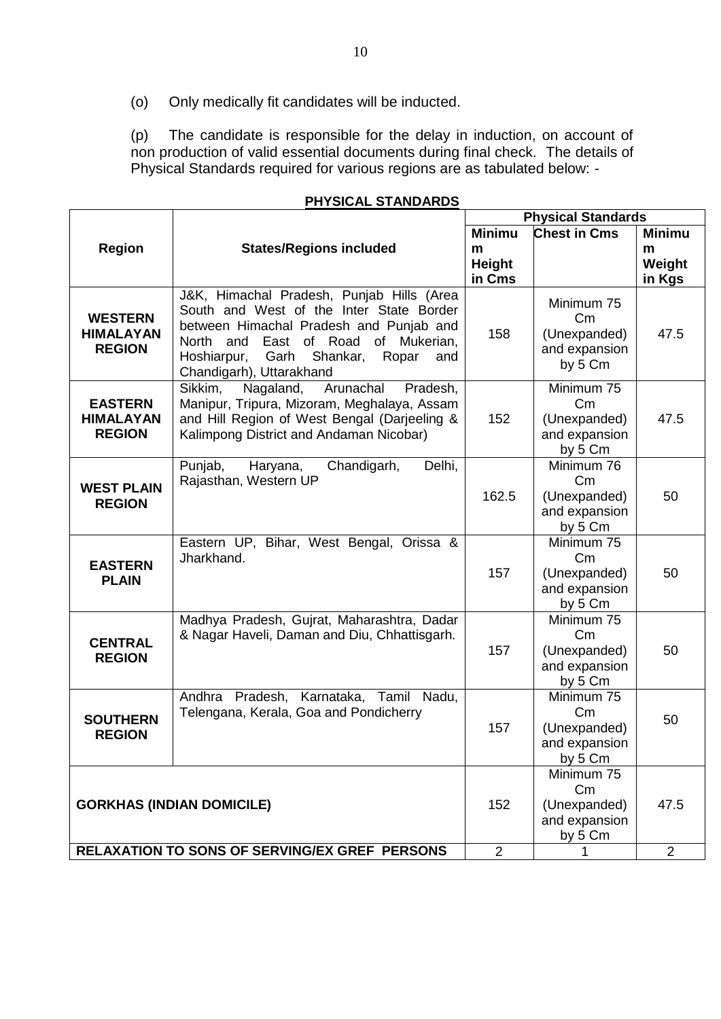(o) Only medically fit candidates will be inducted.

(p) The candidate is responsible for the delay in induction, on account of non production of valid essential documents during final check. The details of Physical Standards required for various regions are as tabulated below: -

|                                                     |                                                                                                                                                                                                                                                                 | <b>Physical Standards</b> |                                                                                     |                |  |
|-----------------------------------------------------|-----------------------------------------------------------------------------------------------------------------------------------------------------------------------------------------------------------------------------------------------------------------|---------------------------|-------------------------------------------------------------------------------------|----------------|--|
|                                                     |                                                                                                                                                                                                                                                                 | <b>Minimu</b>             | <b>Chest in Cms</b>                                                                 | <b>Minimu</b>  |  |
| <b>Region</b>                                       | <b>States/Regions included</b>                                                                                                                                                                                                                                  | m                         |                                                                                     | m              |  |
|                                                     |                                                                                                                                                                                                                                                                 | <b>Height</b>             |                                                                                     | Weight         |  |
|                                                     |                                                                                                                                                                                                                                                                 | in Cms                    |                                                                                     | in Kgs         |  |
| <b>WESTERN</b><br><b>HIMALAYAN</b><br><b>REGION</b> | J&K, Himachal Pradesh, Punjab Hills (Area<br>South and West of the Inter State Border<br>between Himachal Pradesh and Punjab and<br>East of Road<br>of Mukerian,<br>North<br>and<br>Hoshiarpur,<br>Garh<br>Shankar,<br>Ropar<br>and<br>Chandigarh), Uttarakhand | 158                       | Minimum 75<br>Cm<br>(Unexpanded)<br>and expansion<br>by 5 Cm                        | 47.5           |  |
| <b>EASTERN</b><br><b>HIMALAYAN</b><br><b>REGION</b> | Sikkim,<br>Nagaland,<br>Arunachal<br>Pradesh,<br>Manipur, Tripura, Mizoram, Meghalaya, Assam<br>and Hill Region of West Bengal (Darjeeling &<br>Kalimpong District and Andaman Nicobar)                                                                         | 152                       | Minimum 75<br>Cm<br>(Unexpanded)<br>and expansion<br>by 5 Cm                        | 47.5           |  |
| <b>WEST PLAIN</b><br><b>REGION</b>                  | Punjab,<br>Chandigarh,<br>Delhi,<br>Haryana,<br>Rajasthan, Western UP                                                                                                                                                                                           | 162.5                     | Minimum 76<br>Cm<br>(Unexpanded)<br>and expansion<br>by 5 Cm                        | 50             |  |
| <b>EASTERN</b><br><b>PLAIN</b>                      | Eastern UP, Bihar, West Bengal, Orissa &<br>Jharkhand.                                                                                                                                                                                                          | 157                       | Minimum 75<br>Cm<br>(Unexpanded)<br>and expansion<br>by 5 Cm                        | 50             |  |
| <b>CENTRAL</b><br><b>REGION</b>                     | Madhya Pradesh, Gujrat, Maharashtra, Dadar<br>& Nagar Haveli, Daman and Diu, Chhattisgarh.                                                                                                                                                                      | 157                       | Minimum 75<br>Cm<br>(Unexpanded)<br>and expansion<br>by 5 Cm                        | 50             |  |
| <b>SOUTHERN</b><br><b>REGION</b>                    | Andhra Pradesh, Karnataka, Tamil<br>Nadu,<br>Telengana, Kerala, Goa and Pondicherry                                                                                                                                                                             | 157                       | Minimum 75<br>$\mathsf{C}_{\mathsf{m}}$<br>(Unexpanded)<br>and expansion<br>by 5 Cm | 50             |  |
|                                                     | <b>GORKHAS (INDIAN DOMICILE)</b><br>RELAXATION TO SONS OF SERVING/EX GREF PERSONS                                                                                                                                                                               | 152<br>$\overline{2}$     | Minimum 75<br>Cm<br>(Unexpanded)<br>and expansion<br>by 5 Cm                        | 47.5           |  |
|                                                     |                                                                                                                                                                                                                                                                 |                           | 1                                                                                   | $\overline{2}$ |  |

#### **PHYSICAL STANDARDS**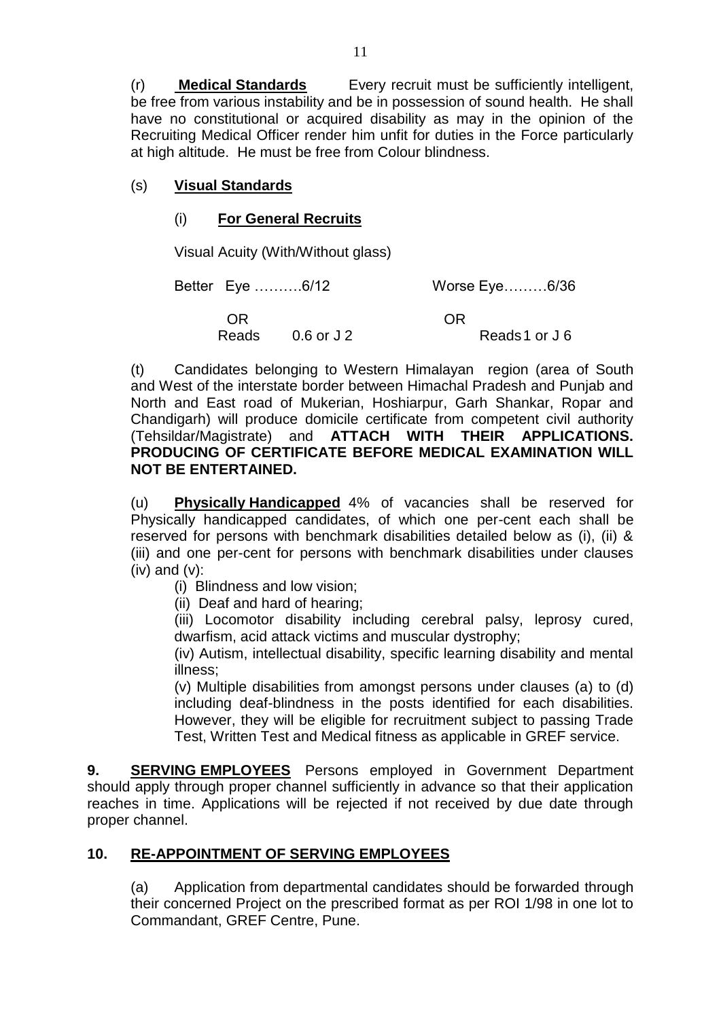(r) **Medical Standards** Every recruit must be sufficiently intelligent, be free from various instability and be in possession of sound health. He shall have no constitutional or acquired disability as may in the opinion of the Recruiting Medical Officer render him unfit for duties in the Force particularly at high altitude. He must be free from Colour blindness.

# (s) **Visual Standards**

### (i) **For General Recruits**

Visual Acuity (With/Without glass)

 Better Eye ……….6/12 Worse Eye………6/36 OR OR Reads 0.6 or J 2 Reads 1 or J 6

(t) Candidates belonging to Western Himalayan region (area of South and West of the interstate border between Himachal Pradesh and Punjab and North and East road of Mukerian, Hoshiarpur, Garh Shankar, Ropar and Chandigarh) will produce domicile certificate from competent civil authority (Tehsildar/Magistrate) and **ATTACH WITH THEIR APPLICATIONS. PRODUCING OF CERTIFICATE BEFORE MEDICAL EXAMINATION WILL NOT BE ENTERTAINED.**

(u) **Physically Handicapped** 4% of vacancies shall be reserved for Physically handicapped candidates, of which one per-cent each shall be reserved for persons with benchmark disabilities detailed below as (i), (ii) & (iii) and one per-cent for persons with benchmark disabilities under clauses  $(iv)$  and  $(v)$ :

- (i) Blindness and low vision;
- (ii) Deaf and hard of hearing;

(iii) Locomotor disability including cerebral palsy, leprosy cured, dwarfism, acid attack victims and muscular dystrophy;

(iv) Autism, intellectual disability, specific learning disability and mental illness;

(v) Multiple disabilities from amongst persons under clauses (a) to (d) including deaf-blindness in the posts identified for each disabilities. However, they will be eligible for recruitment subject to passing Trade Test, Written Test and Medical fitness as applicable in GREF service.

**9. SERVING EMPLOYEES** Persons employed in Government Department should apply through proper channel sufficiently in advance so that their application reaches in time. Applications will be rejected if not received by due date through proper channel.

#### **10. RE-APPOINTMENT OF SERVING EMPLOYEES**

(a) Application from departmental candidates should be forwarded through their concerned Project on the prescribed format as per ROI 1/98 in one lot to Commandant, GREF Centre, Pune.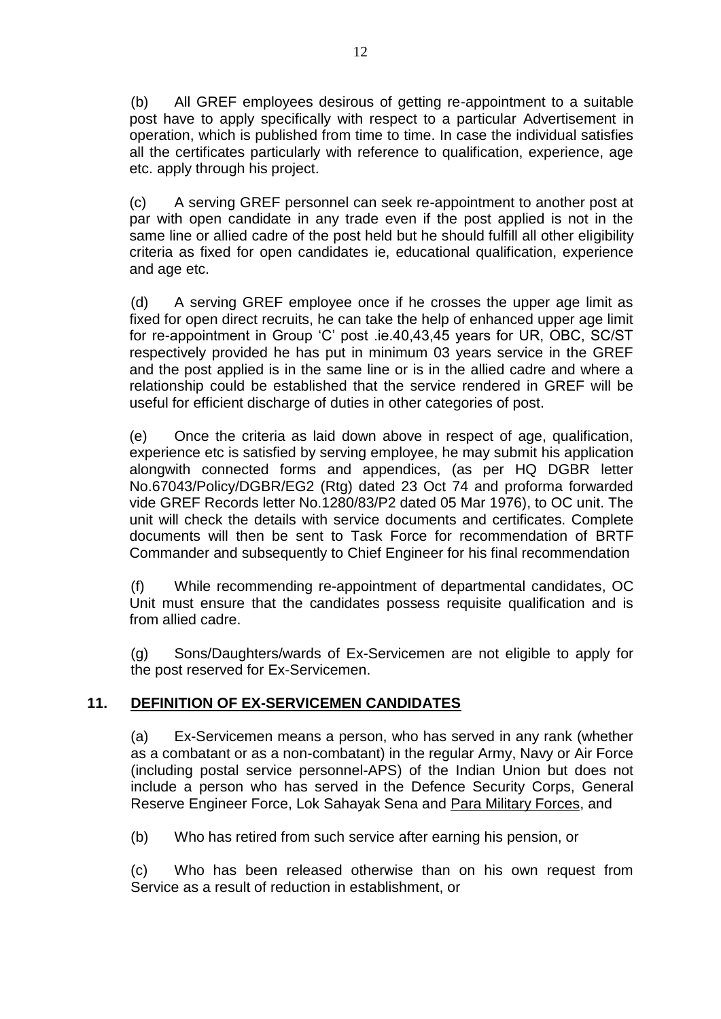(b) All GREF employees desirous of getting re-appointment to a suitable post have to apply specifically with respect to a particular Advertisement in operation, which is published from time to time. In case the individual satisfies all the certificates particularly with reference to qualification, experience, age etc. apply through his project.

(c) A serving GREF personnel can seek re-appointment to another post at par with open candidate in any trade even if the post applied is not in the same line or allied cadre of the post held but he should fulfill all other eligibility criteria as fixed for open candidates ie, educational qualification, experience and age etc.

(d) A serving GREF employee once if he crosses the upper age limit as fixed for open direct recruits, he can take the help of enhanced upper age limit for re-appointment in Group 'C' post .ie.40,43,45 years for UR, OBC, SC/ST respectively provided he has put in minimum 03 years service in the GREF and the post applied is in the same line or is in the allied cadre and where a relationship could be established that the service rendered in GREF will be useful for efficient discharge of duties in other categories of post.

(e) Once the criteria as laid down above in respect of age, qualification, experience etc is satisfied by serving employee, he may submit his application alongwith connected forms and appendices, (as per HQ DGBR letter No.67043/Policy/DGBR/EG2 (Rtg) dated 23 Oct 74 and proforma forwarded vide GREF Records letter No.1280/83/P2 dated 05 Mar 1976), to OC unit. The unit will check the details with service documents and certificates. Complete documents will then be sent to Task Force for recommendation of BRTF Commander and subsequently to Chief Engineer for his final recommendation

(f) While recommending re-appointment of departmental candidates, OC Unit must ensure that the candidates possess requisite qualification and is from allied cadre.

(g) Sons/Daughters/wards of Ex-Servicemen are not eligible to apply for the post reserved for Ex-Servicemen.

# **11. DEFINITION OF EX-SERVICEMEN CANDIDATES**

(a) Ex-Servicemen means a person, who has served in any rank (whether as a combatant or as a non-combatant) in the regular Army, Navy or Air Force (including postal service personnel-APS) of the Indian Union but does not include a person who has served in the Defence Security Corps, General Reserve Engineer Force, Lok Sahayak Sena and Para Military Forces, and

(b) Who has retired from such service after earning his pension, or

(c) Who has been released otherwise than on his own request from Service as a result of reduction in establishment, or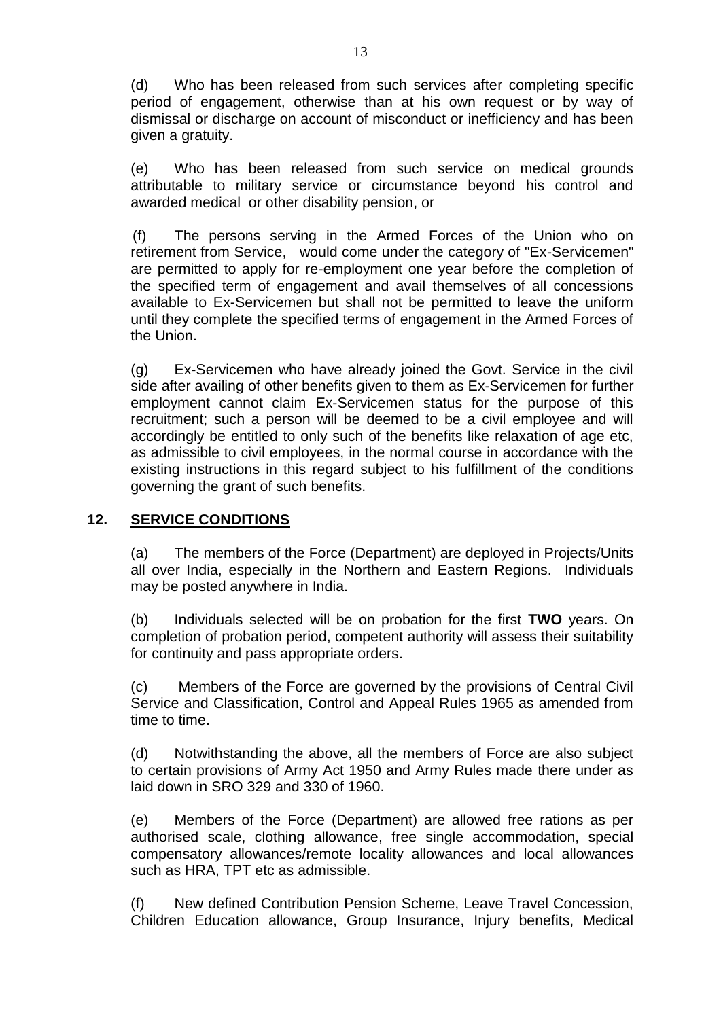(d) Who has been released from such services after completing specific period of engagement, otherwise than at his own request or by way of dismissal or discharge on account of misconduct or inefficiency and has been given a gratuity.

(e) Who has been released from such service on medical grounds attributable to military service or circumstance beyond his control and awarded medical or other disability pension, or

(f) The persons serving in the Armed Forces of the Union who on retirement from Service, would come under the category of "Ex-Servicemen" are permitted to apply for re-employment one year before the completion of the specified term of engagement and avail themselves of all concessions available to Ex-Servicemen but shall not be permitted to leave the uniform until they complete the specified terms of engagement in the Armed Forces of the Union.

(g) Ex-Servicemen who have already joined the Govt. Service in the civil side after availing of other benefits given to them as Ex-Servicemen for further employment cannot claim Ex-Servicemen status for the purpose of this recruitment; such a person will be deemed to be a civil employee and will accordingly be entitled to only such of the benefits like relaxation of age etc, as admissible to civil employees, in the normal course in accordance with the existing instructions in this regard subject to his fulfillment of the conditions governing the grant of such benefits.

#### **12. SERVICE CONDITIONS**

(a) The members of the Force (Department) are deployed in Projects/Units all over India, especially in the Northern and Eastern Regions. Individuals may be posted anywhere in India.

(b) Individuals selected will be on probation for the first **TWO** years. On completion of probation period, competent authority will assess their suitability for continuity and pass appropriate orders.

(c) Members of the Force are governed by the provisions of Central Civil Service and Classification, Control and Appeal Rules 1965 as amended from time to time.

(d) Notwithstanding the above, all the members of Force are also subject to certain provisions of Army Act 1950 and Army Rules made there under as laid down in SRO 329 and 330 of 1960.

(e) Members of the Force (Department) are allowed free rations as per authorised scale, clothing allowance, free single accommodation, special compensatory allowances/remote locality allowances and local allowances such as HRA, TPT etc as admissible.

(f) New defined Contribution Pension Scheme, Leave Travel Concession, Children Education allowance, Group Insurance, Injury benefits, Medical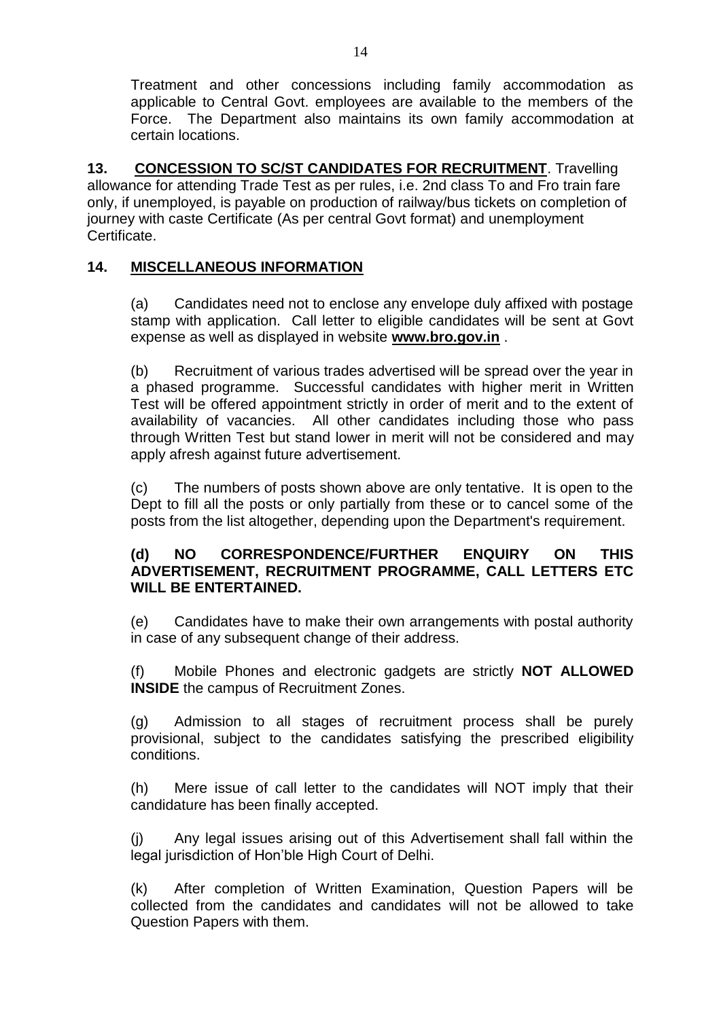Treatment and other concessions including family accommodation as applicable to Central Govt. employees are available to the members of the Force. The Department also maintains its own family accommodation at certain locations.

**13. CONCESSION TO SC/ST CANDIDATES FOR RECRUITMENT**. Travelling allowance for attending Trade Test as per rules, i.e. 2nd class To and Fro train fare only, if unemployed, is payable on production of railway/bus tickets on completion of journey with caste Certificate (As per central Govt format) and unemployment Certificate.

# **14. MISCELLANEOUS INFORMATION**

(a) Candidates need not to enclose any envelope duly affixed with postage stamp with application. Call letter to eligible candidates will be sent at Govt expense as well as displayed in website **[www.bro.gov.in](http://www.bro.gov.in/)** .

(b) Recruitment of various trades advertised will be spread over the year in a phased programme. Successful candidates with higher merit in Written Test will be offered appointment strictly in order of merit and to the extent of availability of vacancies. All other candidates including those who pass through Written Test but stand lower in merit will not be considered and may apply afresh against future advertisement.

(c) The numbers of posts shown above are only tentative. It is open to the Dept to fill all the posts or only partially from these or to cancel some of the posts from the list altogether, depending upon the Department's requirement.

#### **(d) NO CORRESPONDENCE/FURTHER ENQUIRY ON THIS ADVERTISEMENT, RECRUITMENT PROGRAMME, CALL LETTERS ETC WILL BE ENTERTAINED.**

(e) Candidates have to make their own arrangements with postal authority in case of any subsequent change of their address.

(f) Mobile Phones and electronic gadgets are strictly **NOT ALLOWED INSIDE** the campus of Recruitment Zones.

(g) Admission to all stages of recruitment process shall be purely provisional, subject to the candidates satisfying the prescribed eligibility conditions.

(h) Mere issue of call letter to the candidates will NOT imply that their candidature has been finally accepted.

(j) Any legal issues arising out of this Advertisement shall fall within the legal jurisdiction of Hon'ble High Court of Delhi.

(k) After completion of Written Examination, Question Papers will be collected from the candidates and candidates will not be allowed to take Question Papers with them.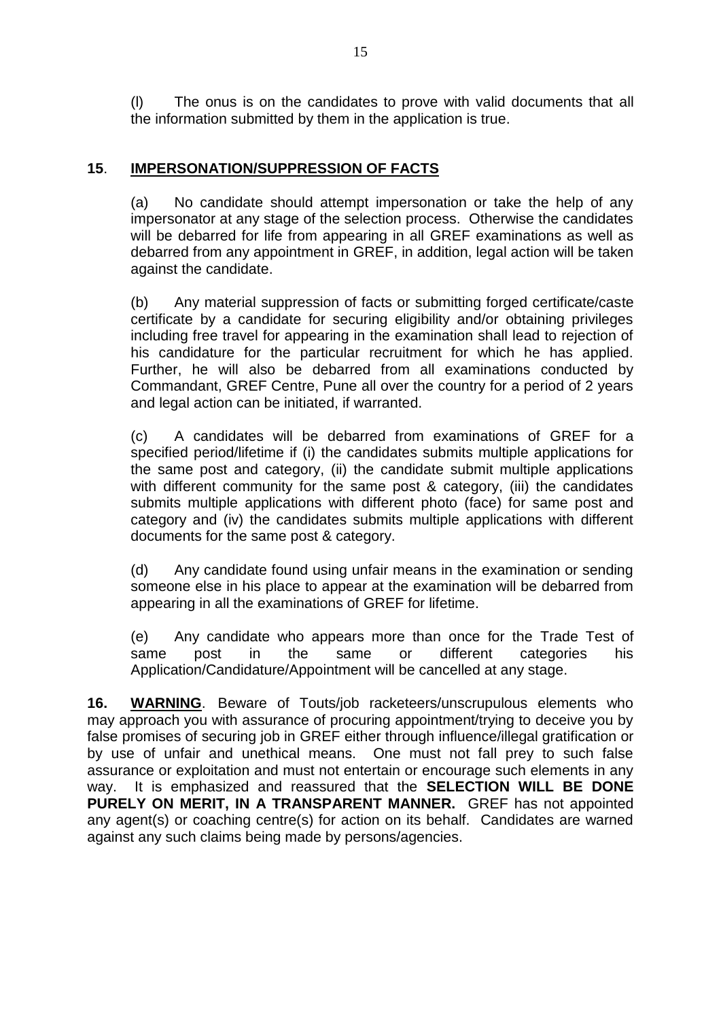(l) The onus is on the candidates to prove with valid documents that all the information submitted by them in the application is true.

# **15**. **IMPERSONATION/SUPPRESSION OF FACTS**

(a) No candidate should attempt impersonation or take the help of any impersonator at any stage of the selection process. Otherwise the candidates will be debarred for life from appearing in all GREF examinations as well as debarred from any appointment in GREF, in addition, legal action will be taken against the candidate.

(b) Any material suppression of facts or submitting forged certificate/caste certificate by a candidate for securing eligibility and/or obtaining privileges including free travel for appearing in the examination shall lead to rejection of his candidature for the particular recruitment for which he has applied. Further, he will also be debarred from all examinations conducted by Commandant, GREF Centre, Pune all over the country for a period of 2 years and legal action can be initiated, if warranted.

(c) A candidates will be debarred from examinations of GREF for a specified period/lifetime if (i) the candidates submits multiple applications for the same post and category, (ii) the candidate submit multiple applications with different community for the same post & category, (iii) the candidates submits multiple applications with different photo (face) for same post and category and (iv) the candidates submits multiple applications with different documents for the same post & category.

(d) Any candidate found using unfair means in the examination or sending someone else in his place to appear at the examination will be debarred from appearing in all the examinations of GREF for lifetime.

(e) Any candidate who appears more than once for the Trade Test of same post in the same or different categories his Application/Candidature/Appointment will be cancelled at any stage.

**16. WARNING**. Beware of Touts/job racketeers/unscrupulous elements who may approach you with assurance of procuring appointment/trying to deceive you by false promises of securing job in GREF either through influence/illegal gratification or by use of unfair and unethical means. One must not fall prey to such false assurance or exploitation and must not entertain or encourage such elements in any way. It is emphasized and reassured that the **SELECTION WILL BE DONE PURELY ON MERIT, IN A TRANSPARENT MANNER.** GREF has not appointed any agent(s) or coaching centre(s) for action on its behalf. Candidates are warned against any such claims being made by persons/agencies.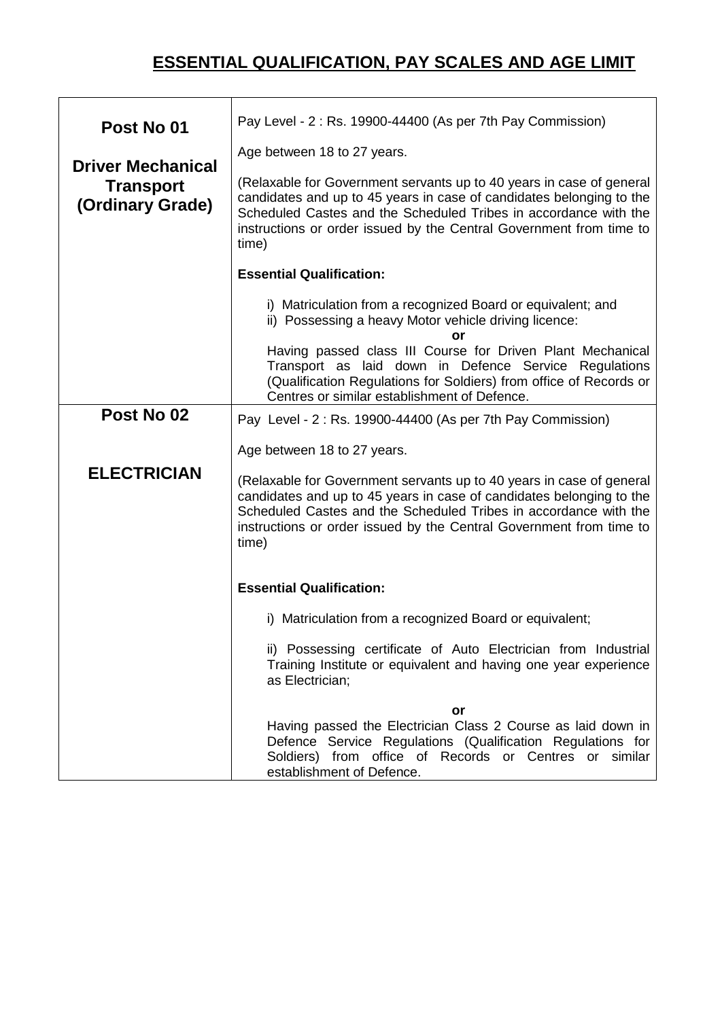# **ESSENTIAL QUALIFICATION, PAY SCALES AND AGE LIMIT**

| Post No 01                           | Pay Level - 2: Rs. 19900-44400 (As per 7th Pay Commission)                                                                                                                                                                                                                                       |  |  |  |  |
|--------------------------------------|--------------------------------------------------------------------------------------------------------------------------------------------------------------------------------------------------------------------------------------------------------------------------------------------------|--|--|--|--|
| <b>Driver Mechanical</b>             | Age between 18 to 27 years.                                                                                                                                                                                                                                                                      |  |  |  |  |
| <b>Transport</b><br>(Ordinary Grade) | (Relaxable for Government servants up to 40 years in case of general<br>candidates and up to 45 years in case of candidates belonging to the<br>Scheduled Castes and the Scheduled Tribes in accordance with the<br>instructions or order issued by the Central Government from time to<br>time) |  |  |  |  |
|                                      | <b>Essential Qualification:</b>                                                                                                                                                                                                                                                                  |  |  |  |  |
|                                      | i) Matriculation from a recognized Board or equivalent; and<br>ii) Possessing a heavy Motor vehicle driving licence:<br>or                                                                                                                                                                       |  |  |  |  |
|                                      | Having passed class III Course for Driven Plant Mechanical<br>Transport as laid down in Defence Service Regulations<br>(Qualification Regulations for Soldiers) from office of Records or<br>Centres or similar establishment of Defence.                                                        |  |  |  |  |
| Post No 02                           | Pay Level - 2: Rs. 19900-44400 (As per 7th Pay Commission)                                                                                                                                                                                                                                       |  |  |  |  |
|                                      | Age between 18 to 27 years.                                                                                                                                                                                                                                                                      |  |  |  |  |
| <b>ELECTRICIAN</b>                   | (Relaxable for Government servants up to 40 years in case of general<br>candidates and up to 45 years in case of candidates belonging to the<br>Scheduled Castes and the Scheduled Tribes in accordance with the<br>instructions or order issued by the Central Government from time to<br>time) |  |  |  |  |
|                                      | <b>Essential Qualification:</b>                                                                                                                                                                                                                                                                  |  |  |  |  |
|                                      | i) Matriculation from a recognized Board or equivalent;                                                                                                                                                                                                                                          |  |  |  |  |
|                                      | ii) Possessing certificate of Auto Electrician from Industrial<br>Training Institute or equivalent and having one year experience<br>as Electrician;                                                                                                                                             |  |  |  |  |
|                                      | or<br>Having passed the Electrician Class 2 Course as laid down in<br>Defence Service Regulations (Qualification Regulations for<br>Soldiers) from office of Records or Centres or similar<br>establishment of Defence.                                                                          |  |  |  |  |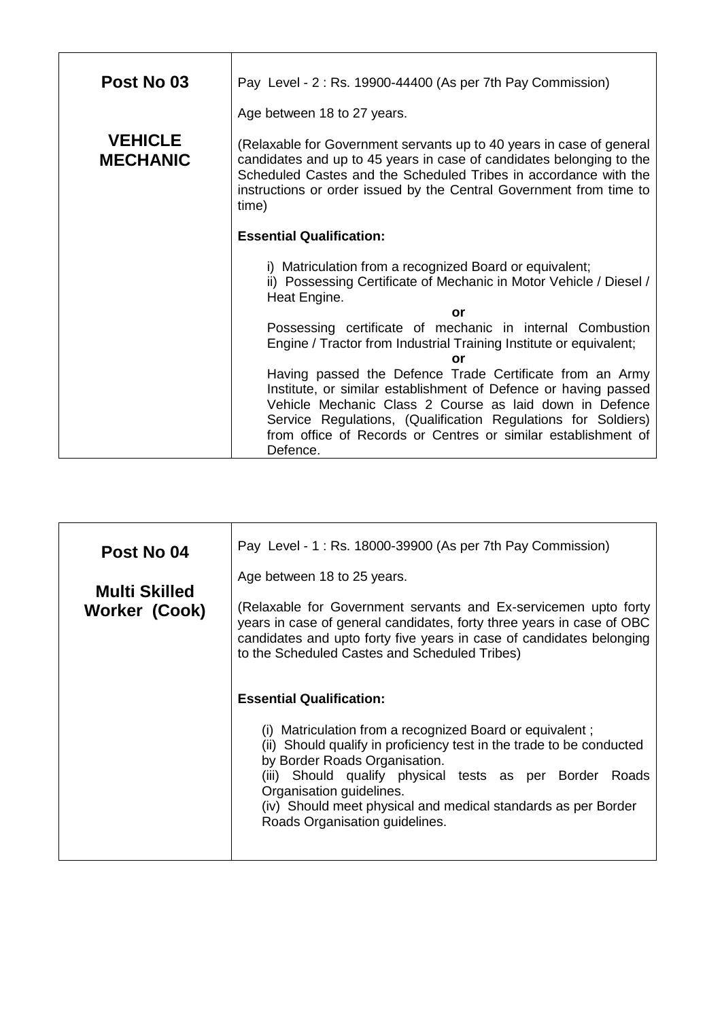| Post No 03                        | Pay Level - 2: Rs. 19900-44400 (As per 7th Pay Commission)                                                                                                                                                                                                                                       |  |
|-----------------------------------|--------------------------------------------------------------------------------------------------------------------------------------------------------------------------------------------------------------------------------------------------------------------------------------------------|--|
|                                   | Age between 18 to 27 years.                                                                                                                                                                                                                                                                      |  |
| <b>VEHICLE</b><br><b>MECHANIC</b> | (Relaxable for Government servants up to 40 years in case of general<br>candidates and up to 45 years in case of candidates belonging to the<br>Scheduled Castes and the Scheduled Tribes in accordance with the<br>instructions or order issued by the Central Government from time to<br>time) |  |
|                                   | <b>Essential Qualification:</b>                                                                                                                                                                                                                                                                  |  |
|                                   | i) Matriculation from a recognized Board or equivalent;<br>ii) Possessing Certificate of Mechanic in Motor Vehicle / Diesel /<br>Heat Engine.                                                                                                                                                    |  |
|                                   | or                                                                                                                                                                                                                                                                                               |  |
|                                   | Possessing certificate of mechanic in internal Combustion<br>Engine / Tractor from Industrial Training Institute or equivalent;                                                                                                                                                                  |  |
|                                   | or                                                                                                                                                                                                                                                                                               |  |
|                                   | Having passed the Defence Trade Certificate from an Army<br>Institute, or similar establishment of Defence or having passed<br>Vehicle Mechanic Class 2 Course as laid down in Defence                                                                                                           |  |
|                                   | Service Regulations, (Qualification Regulations for Soldiers)<br>from office of Records or Centres or similar establishment of<br>Defence.                                                                                                                                                       |  |

| Post No 04<br><b>Multi Skilled</b><br>Worker (Cook) | Pay Level - 1 : Rs. 18000-39900 (As per 7th Pay Commission)<br>Age between 18 to 25 years.<br>(Relaxable for Government servants and Ex-servicemen upto forty<br>years in case of general candidates, forty three years in case of OBC<br>candidates and upto forty five years in case of candidates belonging<br>to the Scheduled Castes and Scheduled Tribes)                                   |
|-----------------------------------------------------|---------------------------------------------------------------------------------------------------------------------------------------------------------------------------------------------------------------------------------------------------------------------------------------------------------------------------------------------------------------------------------------------------|
|                                                     | <b>Essential Qualification:</b><br>(i) Matriculation from a recognized Board or equivalent;<br>(ii) Should qualify in proficiency test in the trade to be conducted<br>by Border Roads Organisation.<br>(iii) Should qualify physical tests as per Border<br>Roads<br>Organisation guidelines.<br>(iv) Should meet physical and medical standards as per Border<br>Roads Organisation guidelines. |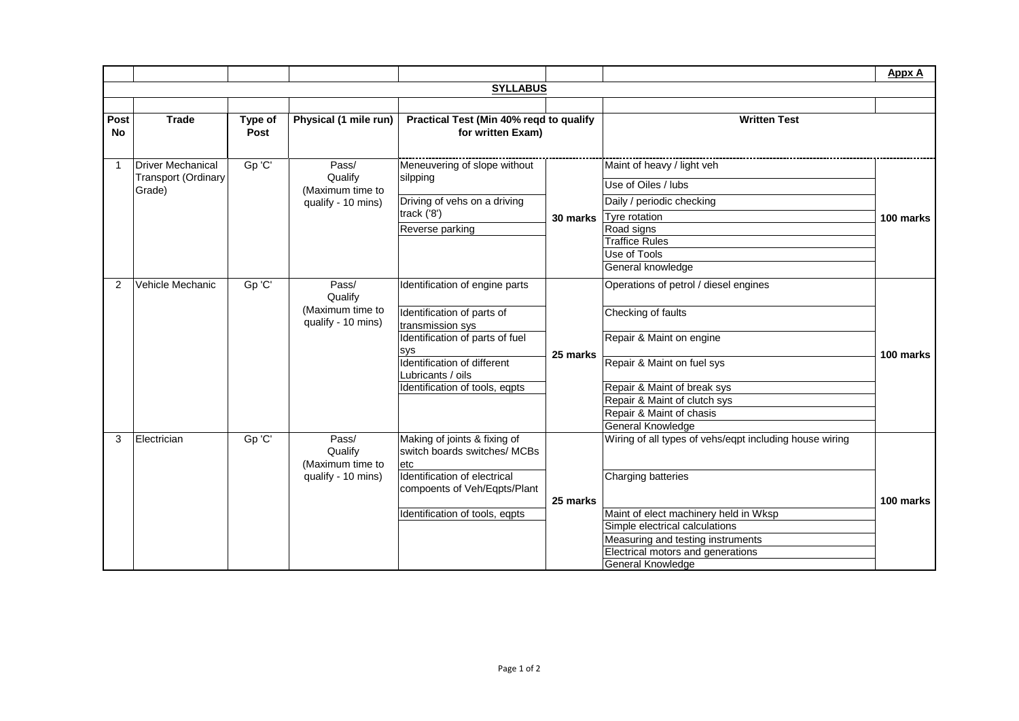|              |                                                    |                 |                                                            |                                                                                                                                                                                                                         |          |                                                                                                                                                                                                                                                                | Appx A    |
|--------------|----------------------------------------------------|-----------------|------------------------------------------------------------|-------------------------------------------------------------------------------------------------------------------------------------------------------------------------------------------------------------------------|----------|----------------------------------------------------------------------------------------------------------------------------------------------------------------------------------------------------------------------------------------------------------------|-----------|
|              |                                                    |                 |                                                            | <b>SYLLABUS</b>                                                                                                                                                                                                         |          |                                                                                                                                                                                                                                                                |           |
| Post<br>No   | <b>Trade</b>                                       | Type of<br>Post | Physical (1 mile run)                                      | Practical Test (Min 40% reqd to qualify<br>for written Exam)                                                                                                                                                            |          | <b>Written Test</b>                                                                                                                                                                                                                                            |           |
| $\mathbf{1}$ | Driver Mechanical<br>Transport (Ordinary<br>Grade) | Gp 'C'          | Pass/<br>Qualify<br>(Maximum time to<br>qualify - 10 mins) | Meneuvering of slope without<br>silpping<br>Driving of vehs on a driving<br>track ('8')<br>Reverse parking                                                                                                              | 30 marks | Maint of heavy / light veh<br>Use of Oiles / lubs<br>Daily / periodic checking<br>Tyre rotation<br>Road signs<br><b>Traffice Rules</b><br>Use of Tools<br>General knowledge                                                                                    | 100 marks |
| 2            | Vehicle Mechanic                                   | Gp 'C'          | Pass/<br>Qualify<br>(Maximum time to<br>qualify - 10 mins) | Identification of engine parts<br>Identification of parts of<br>transmission sys<br>Identification of parts of fuel<br><b>SVS</b><br>Identification of different<br>Lubricants / oils<br>Identification of tools, eqpts | 25 marks | Operations of petrol / diesel engines<br>Checking of faults<br>Repair & Maint on engine<br>Repair & Maint on fuel sys<br>Repair & Maint of break sys<br>Repair & Maint of clutch sys<br>Repair & Maint of chasis<br>General Knowledge                          | 100 marks |
| 3            | Electrician                                        | Gp 'C'          | Pass/<br>Qualify<br>(Maximum time to<br>qualify - 10 mins) | Making of joints & fixing of<br>switch boards switches/ MCBs<br>letc<br>Identification of electrical<br>compoents of Veh/Eqpts/Plant<br>Identification of tools, eqpts                                                  | 25 marks | Wiring of all types of vehs/eqpt including house wiring<br>Charging batteries<br>Maint of elect machinery held in Wksp<br>Simple electrical calculations<br>Measuring and testing instruments<br>Electrical motors and generations<br><b>General Knowledge</b> | 100 marks |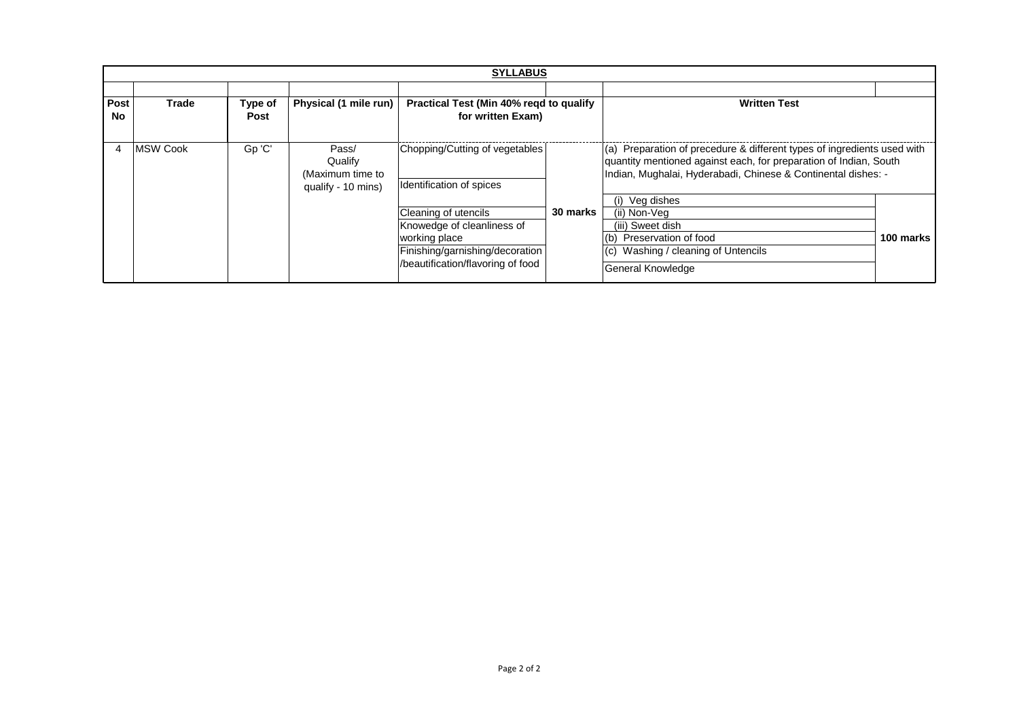|                   |                  |                 |                                                            | <b>SYLLABUS</b>                                                                                                                             |          |                                                                                                                                                                                                                                         |           |
|-------------------|------------------|-----------------|------------------------------------------------------------|---------------------------------------------------------------------------------------------------------------------------------------------|----------|-----------------------------------------------------------------------------------------------------------------------------------------------------------------------------------------------------------------------------------------|-----------|
| Post<br><b>No</b> | Trade            | Type of<br>Post | Physical (1 mile run)                                      | Practical Test (Min 40% regd to qualify<br>for written Exam)                                                                                |          | <b>Written Test</b>                                                                                                                                                                                                                     |           |
| 4                 | <b>IMSW Cook</b> | Gp 'C'          | Pass/<br>Qualify<br>(Maximum time to<br>qualify - 10 mins) | Chopping/Cutting of vegetables<br>Identification of spices                                                                                  |          | $\vert$ (a) Preparation of precedure & different types of ingredients used with<br>quantity mentioned against each, for preparation of Indian, South<br>Indian, Mughalai, Hyderabadi, Chinese & Continental dishes: -<br>(i) Veg dishes |           |
|                   |                  |                 |                                                            | Cleaning of utencils<br>Knowedge of cleanliness of<br>working place<br>Finishing/garnishing/decoration<br>/beautification/flavoring of food | 30 marks | (ii) Non-Vea<br>(iii) Sweet dish<br>Preservation of food<br>(b)<br>Washing / cleaning of Untencils<br> (c)<br>General Knowledge                                                                                                         | 100 marks |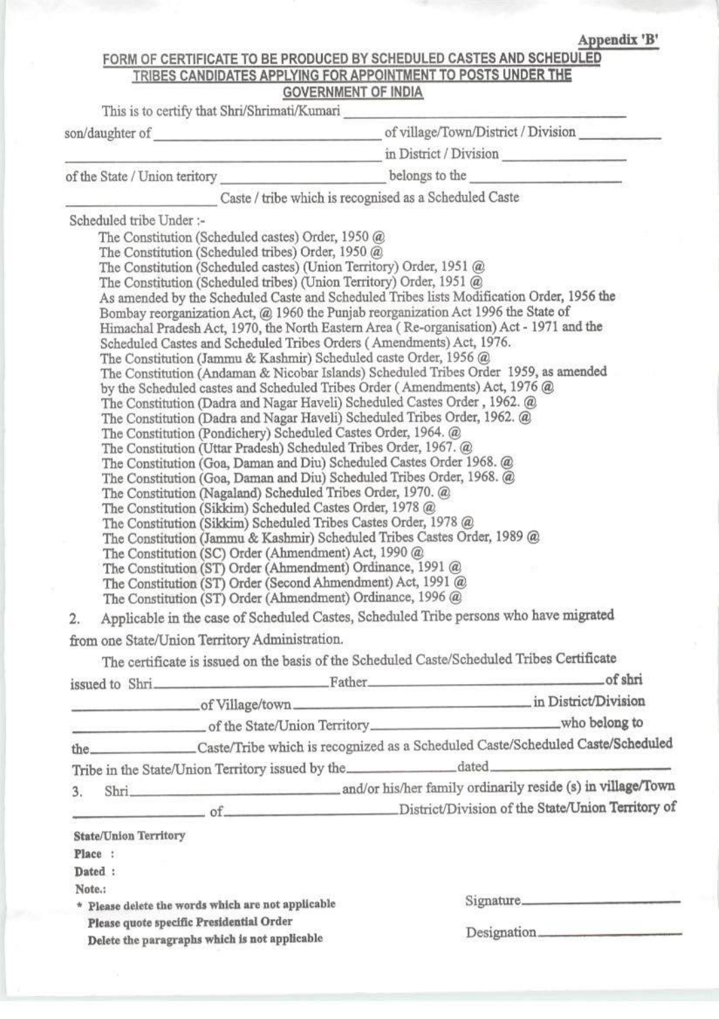Appendix 'B'

# FORM OF CERTIFICATE TO BE PRODUCED BY SCHEDULED CASTES AND SCHEDULED TRIBES CANDIDATES APPLYING FOR APPOINTMENT TO POSTS UNDER THE GOVERNMENT OF INDIA

|        | This is to certify that Shri/Shrimati/Kumari                                                                                                                                 | <b><i><u>OOAEUIAMICMT OL IMPIN</u></i></b>                                                       |
|--------|------------------------------------------------------------------------------------------------------------------------------------------------------------------------------|--------------------------------------------------------------------------------------------------|
|        |                                                                                                                                                                              |                                                                                                  |
|        |                                                                                                                                                                              |                                                                                                  |
|        |                                                                                                                                                                              |                                                                                                  |
|        |                                                                                                                                                                              | Caste / tribe which is recognised as a Scheduled Caste                                           |
|        | Scheduled tribe Under :-                                                                                                                                                     |                                                                                                  |
|        | The Constitution (Scheduled castes) Order, 1950 @                                                                                                                            |                                                                                                  |
|        | The Constitution (Scheduled tribes) Order, 1950 @                                                                                                                            |                                                                                                  |
|        | The Constitution (Scheduled castes) (Union Territory) Order, 1951 @<br>The Constitution (Scheduled tribes) (Union Territory) Order, 1951 @                                   |                                                                                                  |
|        |                                                                                                                                                                              | As amended by the Scheduled Caste and Scheduled Tribes lists Modification Order, 1956 the        |
|        | Bombay reorganization Act, @ 1960 the Punjab reorganization Act 1996 the State of<br>Himachal Pradesh Act, 1970, the North Eastern Area (Re-organisation) Act - 1971 and the |                                                                                                  |
|        | Scheduled Castes and Scheduled Tribes Orders (Amendments) Act, 1976.                                                                                                         |                                                                                                  |
|        | The Constitution (Jammu & Kashmir) Scheduled caste Order, 1956 @                                                                                                             |                                                                                                  |
|        | by the Scheduled castes and Scheduled Tribes Order (Amendments) Act, 1976 @                                                                                                  | The Constitution (Andaman & Nicobar Islands) Scheduled Tribes Order 1959, as amended             |
|        | The Constitution (Dadra and Nagar Haveli) Scheduled Castes Order, 1962. @                                                                                                    |                                                                                                  |
|        | The Constitution (Dadra and Nagar Haveli) Scheduled Tribes Order, 1962. @                                                                                                    |                                                                                                  |
|        | The Constitution (Pondichery) Scheduled Castes Order, 1964. @<br>The Constitution (Uttar Pradesh) Scheduled Tribes Order, 1967. @                                            |                                                                                                  |
|        | The Constitution (Goa, Daman and Diu) Scheduled Castes Order 1968. @                                                                                                         |                                                                                                  |
|        | The Constitution (Goa, Daman and Diu) Scheduled Tribes Order, 1968. @<br>The Constitution (Nagaland) Scheduled Tribes Order, 1970. @                                         |                                                                                                  |
|        | The Constitution (Sikkim) Scheduled Castes Order, 1978 @                                                                                                                     |                                                                                                  |
|        | The Constitution (Sikkim) Scheduled Tribes Castes Order, 1978 @                                                                                                              |                                                                                                  |
|        | The Constitution (Jammu & Kashmir) Scheduled Tribes Castes Order, 1989 @<br>The Constitution (SC) Order (Ahmendment) Act, 1990 @                                             |                                                                                                  |
|        | The Constitution (ST) Order (Ahmendment) Ordinance, 1991 @                                                                                                                   |                                                                                                  |
|        | The Constitution (ST) Order (Second Ahmendment) Act, 1991 @                                                                                                                  |                                                                                                  |
|        | The Constitution (ST) Order (Ahmendment) Ordinance, 1996 @                                                                                                                   | Applicable in the case of Scheduled Castes, Scheduled Tribe persons who have migrated            |
| 2.     |                                                                                                                                                                              |                                                                                                  |
|        | from one State/Union Territory Administration.                                                                                                                               | The certificate is issued on the basis of the Scheduled Caste/Scheduled Tribes Certificate       |
|        |                                                                                                                                                                              | issued to Shri Father. Father. The contract of shri                                              |
|        |                                                                                                                                                                              |                                                                                                  |
|        |                                                                                                                                                                              |                                                                                                  |
|        |                                                                                                                                                                              | the_______________Caste/Tribe which is recognized as a Scheduled Caste/Scheduled Caste/Scheduled |
|        |                                                                                                                                                                              |                                                                                                  |
|        |                                                                                                                                                                              |                                                                                                  |
| 3.     |                                                                                                                                                                              |                                                                                                  |
|        |                                                                                                                                                                              | District/Division of the State/Union Territory of                                                |
|        | <b>State/Union Territory</b>                                                                                                                                                 |                                                                                                  |
|        | Place:                                                                                                                                                                       |                                                                                                  |
| Note.: | Dated :                                                                                                                                                                      |                                                                                                  |
|        | * Please delete the words which are not applicable                                                                                                                           | Signature                                                                                        |
|        | Please quote specific Presidential Order                                                                                                                                     | Designation.                                                                                     |
|        | Delete the paragraphs which is not applicable                                                                                                                                |                                                                                                  |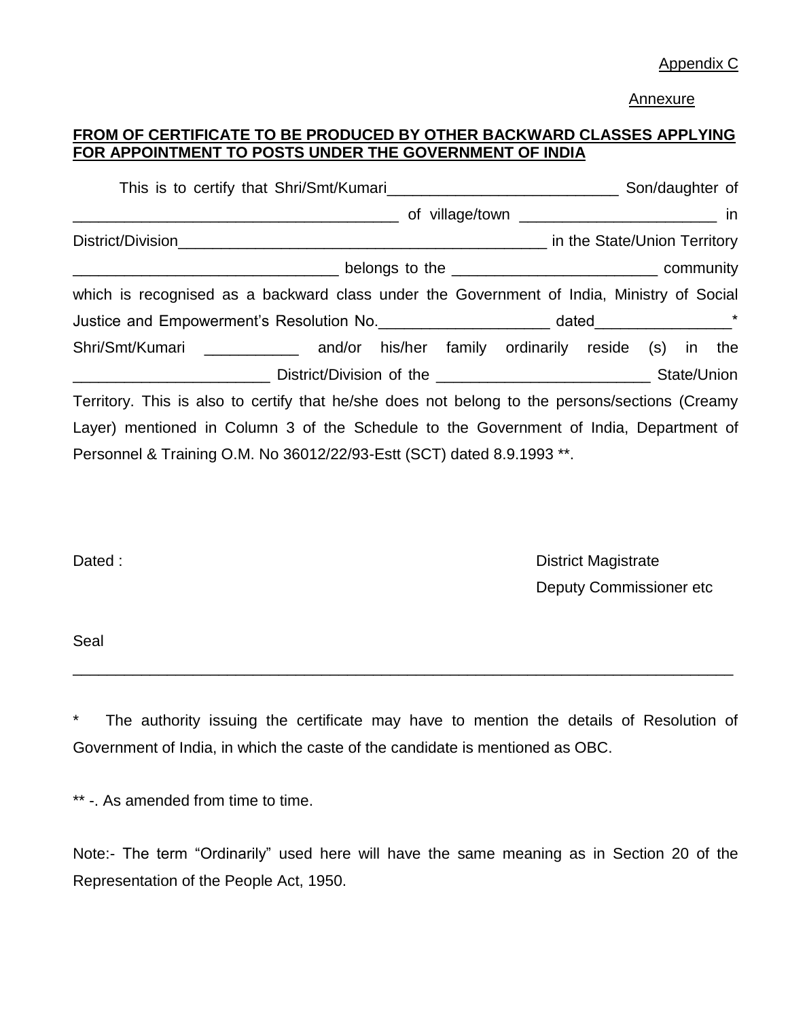Appendix C

Annexure

# **FROM OF CERTIFICATE TO BE PRODUCED BY OTHER BACKWARD CLASSES APPLYING FOR APPOINTMENT TO POSTS UNDER THE GOVERNMENT OF INDIA**

| ___________ belongs to the ______________________________ community                            |  |  |  |  |
|------------------------------------------------------------------------------------------------|--|--|--|--|
| which is recognised as a backward class under the Government of India, Ministry of Social      |  |  |  |  |
| Justice and Empowerment's Resolution No. ________________________ dated_________________*      |  |  |  |  |
| Shri/Smt/Kumari _____________ and/or his/her family ordinarily reside (s) in the               |  |  |  |  |
|                                                                                                |  |  |  |  |
| Territory. This is also to certify that he/she does not belong to the persons/sections (Creamy |  |  |  |  |
| Layer) mentioned in Column 3 of the Schedule to the Government of India, Department of         |  |  |  |  |
| Personnel & Training O.M. No 36012/22/93-Estt (SCT) dated 8.9.1993 **.                         |  |  |  |  |

Dated : **Dated : Second Contract Contract Contract Contract Contract Contract Contract Contract Contract Contract Contract Contract Contract Contract Contract Contract Contract Contract Contract Contract Contract Contract** Deputy Commissioner etc

Seal

\* The authority issuing the certificate may have to mention the details of Resolution of Government of India, in which the caste of the candidate is mentioned as OBC.

\_\_\_\_\_\_\_\_\_\_\_\_\_\_\_\_\_\_\_\_\_\_\_\_\_\_\_\_\_\_\_\_\_\_\_\_\_\_\_\_\_\_\_\_\_\_\_\_\_\_\_\_\_\_\_\_\_\_\_\_\_\_\_\_\_\_\_\_\_\_\_\_\_\_\_\_\_

\*\* -. As amended from time to time.

Note:- The term "Ordinarily" used here will have the same meaning as in Section 20 of the Representation of the People Act, 1950.